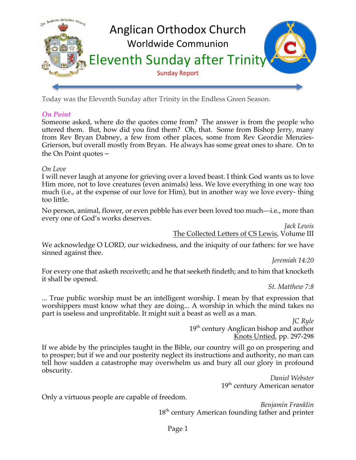

Today was the Eleventh Sunday after Trinity in the Endless Green Season.

## *On Point*

Someone asked, where do the quotes come from? The answer is from the people who uttered them. But, how did you find them? Oh, that. Some from Bishop Jerry, many from Rev Bryan Dabney, a few from other places, some from Rev Geordie Menzies-Grierson, but overall mostly from Bryan. He always has some great ones to share. On to the On Point quotes –

#### *On Love*

I will never laugh at anyone for grieving over a loved beast. I think God wants us to love Him more, not to love creatures (even animals) less. We love everything in one way too much (i.e., at the expense of our love for Him), but in another way we love every- thing too little.

No person, animal, flower, or even pebble has ever been loved too much—i.e., more than every one of God's works deserves.

> *Jack Lewis* The Collected Letters of CS Lewis, Volume III

We acknowledge O LORD, our wickedness, and the iniquity of our fathers: for we have sinned against thee.

*Jeremiah 14:20*

For every one that asketh receiveth; and he that seeketh findeth; and to him that knocketh it shall be opened.

*St. Matthew 7:8*

... True public worship must be an intelligent worship. I mean by that expression that worshippers must know what they are doing... A worship in which the mind takes no part is useless and unprofitable. It might suit a beast as well as a man.

> *JC Ryle*  $19<sup>th</sup>$  century Anglican bishop and author Knots Untied, pp. 297-298

If we abide by the principles taught in the Bible, our country will go on prospering and to prosper; but if we and our posterity neglect its instructions and authority, no man can tell how sudden a catastrophe may overwhelm us and bury all our glory in profound obscurity.

*Daniel Webster* 19<sup>th</sup> century American senator

Only a virtuous people are capable of freedom.

*Benjamin Franklin* 18<sup>th</sup> century American founding father and printer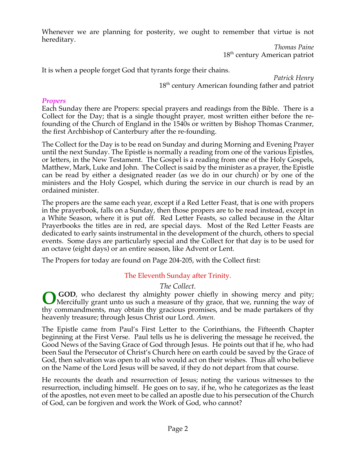Whenever we are planning for posterity, we ought to remember that virtue is not hereditary.

> *Thomas Paine* 18<sup>th</sup> century American patriot

It is when a people forget God that tyrants forge their chains.

*Patrick Henry* 18<sup>th</sup> century American founding father and patriot

#### *Propers*

Each Sunday there are Propers: special prayers and readings from the Bible. There is a Collect for the Day; that is a single thought prayer, most written either before the refounding of the Church of England in the 1540s or written by Bishop Thomas Cranmer, the first Archbishop of Canterbury after the re-founding.

The Collect for the Day is to be read on Sunday and during Morning and Evening Prayer until the next Sunday. The Epistle is normally a reading from one of the various Epistles, or letters, in the New Testament. The Gospel is a reading from one of the Holy Gospels, Matthew, Mark, Luke and John. The Collect is said by the minister as a prayer, the Epistle can be read by either a designated reader (as we do in our church) or by one of the ministers and the Holy Gospel, which during the service in our church is read by an ordained minister.

The propers are the same each year, except if a Red Letter Feast, that is one with propers in the prayerbook, falls on a Sunday, then those propers are to be read instead, except in a White Season, where it is put off. Red Letter Feasts, so called because in the Altar Prayerbooks the titles are in red, are special days. Most of the Red Letter Feasts are dedicated to early saints instrumental in the development of the church, others to special events. Some days are particularly special and the Collect for that day is to be used for an octave (eight days) or an entire season, like Advent or Lent.

The Propers for today are found on Page 204-205, with the Collect first:

## The Eleventh Sunday after Trinity.

#### *The Collect.*

**GOD**, who declarest thy almighty power chiefly in showing mercy and pity; **OSOD**, who declarest thy almighty power chiefly in showing mercy and pity;<br>Mercifully grant unto us such a measure of thy grace, that we, running the way of thy commandments, may obtain thy gracious promises, and be made partakers of thy heavenly treasure; through Jesus Christ our Lord. *Amen.*

The Epistle came from Paul's First Letter to the Corinthians, the Fifteenth Chapter beginning at the First Verse. Paul tells us he is delivering the message he received, the Good News of the Saving Grace of God through Jesus. He points out that if he, who had been Saul the Persecutor of Christ's Church here on earth could be saved by the Grace of God, then salvation was open to all who would act on their wishes. Thus all who believe on the Name of the Lord Jesus will be saved, if they do not depart from that course.

He recounts the death and resurrection of Jesus; noting the various witnesses to the resurrection, including himself. He goes on to say, if he, who he categorizes as the least of the apostles, not even meet to be called an apostle due to his persecution of the Church of God, can be forgiven and work the Work of God, who cannot?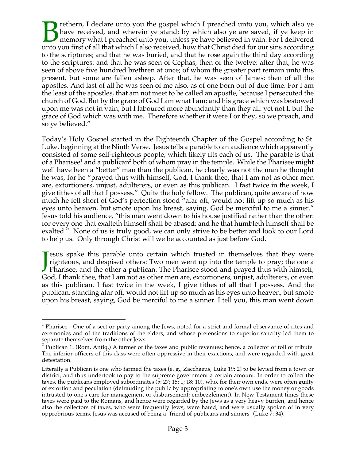rethern, I declare unto you the gospel which I preached unto you, which also ye have received, and wherein ye stand; by which also ye are saved, if ye keep in memory what I preached unto you, unless ye have believed in vain. For I delivered The preached unto you first of all that which I also received, how that Christ died for our sins according unto you first of all that which I also received, how that Christ died for our sins according to the scriptures; and that he was buried, and that he rose again the third day according to the scriptures: and that he was seen of Cephas, then of the twelve: after that, he was seen of above five hundred brethren at once; of whom the greater part remain unto this present, but some are fallen asleep. After that, he was seen of James; then of all the apostles. And last of all he was seen of me also, as of one born out of due time. For I am the least of the apostles, that am not meet to be called an apostle, because I persecuted the church of God. But by the grace of God I am what I am: and his grace which was bestowed upon me was not in vain; but I laboured more abundantly than they all: yet not I, but the grace of God which was with me. Therefore whether it were I or they, so we preach, and so ye believed."

Today's Holy Gospel started in the Eighteenth Chapter of the Gospel according to St. Luke, beginning at the Ninth Verse. Jesus tells a parable to an audience which apparently consisted of some self-righteous people, which likely fits each of us. The parable is that of a Pharisee<sup>1</sup> and a publican<sup>2</sup> both of whom pray in the temple. While the Pharisee might well have been a "better" man than the publican, he clearly was not the man he thought he was, for he "prayed thus with himself, God, I thank thee, that I am not as other men are, extortioners, unjust, adulterers, or even as this publican. I fast twice in the week, I give tithes of all that I possess." Quite the holy fellow. The publican, quite aware of how much he fell short of God's perfection stood "afar off, would not lift up so much as his eyes unto heaven, but smote upon his breast, saying, God be merciful to me a sinner." Jesus told his audience, "this man went down to his house justified rather than the other: for every one that exalteth himself shall be abased; and he that humbleth himself shall be exalted." None of us is truly good, we can only strive to be better and look to our Lord to help us. Only through Christ will we be accounted as just before God.

**Tesus spake this parable unto certain which trusted in themselves that they were** righteous, and despised others: Two men went up into the temple to pray; the one a **J** esus spake this parable unto certain which trusted in themselves that they were righteous, and despised others: Two men went up into the temple to pray; the one a Pharisee, and the other a publican. The Pharisee stood God, I thank thee, that I am not as other men are, extortioners, unjust, adulterers, or even as this publican. I fast twice in the week, I give tithes of all that I possess. And the publican, standing afar off, would not lift up so much as his eyes unto heaven, but smote upon his breast, saying, God be merciful to me a sinner. I tell you, this man went down

<sup>&</sup>lt;sup>1</sup> Pharisee - One of a sect or party among the Jews, noted for a strict and formal observance of rites and ceremonies and of the traditions of the elders, and whose pretensions to superior sanctity led them to separate themselves from the other Jews.

 $2$  Publican 1. (Rom. Antig.) A farmer of the taxes and public revenues; hence, a collector of toll or tribute. The inferior officers of this class were often oppressive in their exactions, and were regarded with great detestation.

Literally a Publican is one who farmed the taxes (e. g., Zacchaeus, Luke 19: 2) to be levied from a town or district, and thus undertook to pay to the supreme government a certain amount. In order to collect the taxes, the publicans employed subordinates (5: 27; 15: 1; 18: 10), who, for their own ends, were often guilty of extortion and peculation (defrauding the public by appropriating to one's own use the money or goods intrusted to one's care for management or disbursement; embezzlement). In New Testament times these taxes were paid to the Romans, and hence were regarded by the Jews as a very heavy burden, and hence also the collectors of taxes, who were frequently Jews, were hated, and were usually spoken of in very opprobrious terms. Jesus was accused of being a "friend of publicans and sinners" (Luke 7: 34).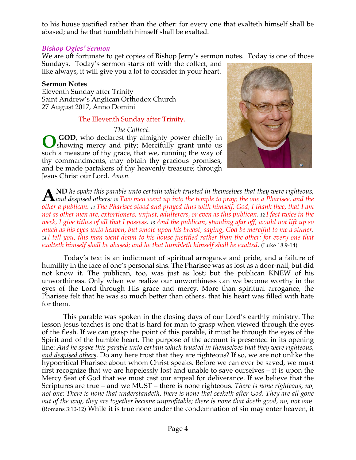to his house justified rather than the other: for every one that exalteth himself shall be abased; and he that humbleth himself shall be exalted.

#### *Bishop Ogles' Sermon*

We are oft fortunate to get copies of Bishop Jerry's sermon notes. Today is one of those Sundays. Today's sermon starts off with the collect, and

like always, it will give you a lot to consider in your heart.

#### **Sermon Notes**

Eleventh Sunday after Trinity Saint Andrew's Anglican Orthodox Church 27 August 2017, Anno Domini

## The Eleventh Sunday after Trinity.

*The Collect.*

**GOD**, who declarest thy almighty power chiefly in showing mercy and pity; Mercifully grant unto us such a measure of thy grace, that we, running the way of thy commandments, may obtain thy gracious promises, and be made partakers of thy heavenly treasure; through Jesus Christ our Lord. *Amen.* **O**



**ND** *he spake this parable unto certain which trusted in themselves that they were righteous,*  **A** *and despised others: 10 Two men went up into the temple to pray; the one a Pharisee, and the change of the sympallity into the temple to pray; the one a Pharisee, and the <i>algomeny is The Pharise The Pharise* **and the** *other a publican. <sup>11</sup> The Pharisee stood and prayed thus with himself, God, I thank thee, that I am not as other men are, extortioners, unjust, adulterers, or even as this publican. 12 I fast twice in the week, I give tithes of all that I possess. 13 And the publican, standing afar off, would not lift up so much as his eyes unto heaven, but smote upon his breast, saying, God be merciful to me a sinner. <sup>14</sup> I tell you, this man went down to his house justified rather than the other: for every one that exalteth himself shall be abased; and he that humbleth himself shall be exalted*. (Luke 18:9-14)

Today's text is an indictment of spiritual arrogance and pride, and a failure of humility in the face of one's personal sins. The Pharisee was as lost as a door-nail, but did not know it. The publican, too, was just as lost; but the publican KNEW of his unworthiness. Only when we realize our unworthiness can we become worthy in the eyes of the Lord through His grace and mercy. More than spiritual arrogance, the Pharisee felt that he was so much better than others, that his heart was filled with hate for them.

This parable was spoken in the closing days of our Lord's earthly ministry. The lesson Jesus teaches is one that is hard for man to grasp when viewed through the eyes of the flesh. If we can grasp the point of this parable, it must be through the eyes of the Spirit and of the humble heart. The purpose of the account is presented in its opening line: *And he spake this parable unto certain which trusted in themselves that they were righteous, and despised others*. Do any here trust that they are righteous? If so, we are not unlike the hypocritical Pharisee about whom Christ speaks. Before we can ever be saved, we must first recognize that we are hopelessly lost and unable to save ourselves – it is upon the Mercy Seat of God that we must cast our appeal for deliverance. If we believe that the Scriptures are true – and we MUST – there is none righteous. *There is none righteous, no, not one: There is none that understandeth, there is none that seeketh after God. They are all gone out of the way, they are together become unprofitable; there is none that doeth good, no, not on*e. (Romans 3:10-12) While it is true none under the condemnation of sin may enter heaven, it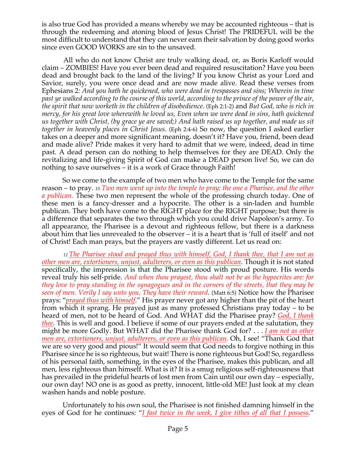is also true God has provided a means whereby we may be accounted righteous – that is through the redeeming and atoning blood of Jesus Christ! The PRIDEFUL will be the most difficult to understand that they can never earn their salvation by doing good works since even GOOD WORKS are sin to the unsaved.

All who do not know Christ are truly walking dead, or, as Boris Karloff would claim – ZOMBIES! Have you ever been dead and required resuscitation? Have you been dead and brought back to the land of the living? If you know Christ as your Lord and Savior, surely, you were once dead and are now made alive. Read these verses from Ephesians 2*: And you hath he quickened, who were dead in trespasses and sins; Wherein in time past ye walked according to the course of this world, according to the prince of the power of the air, the spirit that now worketh in the children of disobedience*. (Eph 2:1-2) and *But God, who is rich in mercy, for his great love wherewith he loved us, Even when we were dead in sins, hath quickened us together with Christ, (by grace ye are saved;) And hath raised us up together, and made us sit together in heavenly places in Christ Jesus*. (Eph 2:4-6) So now, the question I asked earlier takes on a deeper and more significant meaning, doesn't it? Have you, friend, been dead and made alive? Pride makes it very hard to admit that we were, indeed, dead in time past. A dead person can do nothing to help themselves for they are DEAD. Only the revitalizing and life-giving Spirit of God can make a DEAD person live! So, we can do nothing to save ourselves – it is a work of Grace through Faith!

So we come to the example of two men who have come to the Temple for the same reason – to pray. *<sup>10</sup> Two men went up into the temple to pray; the one a Pharisee, and the other a publican.* These two men represent the whole of the professing church today. One of these men is a fancy-dresser and a hypocrite. The other is a sin-laden and humble publican. They both have come to the RIGHT place for the RIGHT purpose; but there is a difference that separates the two through which you could drive Napoleon's army. To all appearance, the Pharisee is a devout and righteous fellow, but there is a darkness about him that lies unrevealed to the observer – it is a heart that is 'full of itself' and not of Christ! Each man prays, but the prayers are vastly different. Let us read on:

*<sup>11</sup> The Pharisee stood and prayed thus with himself, God, I thank thee, that I am not as other men are, extortioners, unjust, adulterers, or even as this publican.* Though it is not stated specifically, the impression is that the Pharisee stood with proud posture. His words reveal truly his self-pride. *And when thou prayest, thou shalt not be as the hypocrites are: for they love to pray standing in the synagogues and in the corners of the streets, that they may be seen of men. Verily I say unto you, They have their reward*. (Matt 6:5) Notice how the Pharisee prays: "*prayed thus with himself*." His prayer never got any higher than the pit of the heart from which it sprang. He prayed just as many professed Christians pray today – to be heard of men, not to be heard of God. And WHAT did the Pharisee pray? *God, I thank thee*. This is well and good. I believe if some of our prayers ended at the salutation, they might be more Godly. But WHAT did the Pharisee thank God for? . . . *I am not as other men are, extortioners, unjust, adulterers, or even as this publican.* Oh, I see! "Thank God that we are so very good and pious!" It would seem that God needs to forgive nothing in this Pharisee since he is so righteous, but wait! There is none righteous but God! So, regardless of his personal faith, something, in the eyes of the Pharisee, makes this publican, and all men, less righteous than himself. What is it? It is a smug religious self-righteousness that has prevailed in the prideful hearts of lost men from Cain until our own day – especially, our own day! NO one is as good as pretty, innocent, little-old ME! Just look at my clean washen hands and noble posture.

Unfortunately to his own soul, the Pharisee is not finished damning himself in the eyes of God for he continues: "*I fast twice in the week, I give tithes of all that I possess.*"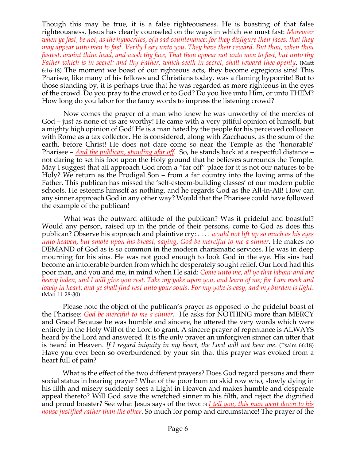Though this may be true, it is a false righteousness. He is boasting of that false righteousness. Jesus has clearly counseled on the ways in which we must fast: *Moreover when ye fast, be not, as the hypocrites, of a sad countenance: for they disfigure their faces, that they may appear unto men to fast. Verily I say unto you, They have their reward. But thou, when thou fastest, anoint thine head, and wash thy face; That thou appear not unto men to fast, but unto thy Father which is in secret: and thy Father, which seeth in secret, shall reward thee openly*. (Matt 6:16-18) The moment we boast of our righteous acts, they become egregious sins! This Pharisee, like many of his fellows and Christians today, was a flaming hypocrite! But to those standing by, it is perhaps true that he was regarded as more righteous in the eyes of the crowd. Do you pray to the crowd or to God? Do you live unto Him, or unto THEM? How long do you labor for the fancy words to impress the listening crowd?

Now comes the prayer of a man who knew he was unworthy of the mercies of God – just as none of us are worthy! He came with a very pitiful opinion of himself, but a mighty high opinion of God! He is a man hated by the people for his perceived collusion with Rome as a tax collector. He is considered, along with Zacchaeus, as the scum of the earth, before Christ! He does not dare come so near the Temple as the 'honorable' Pharisee – *And the publican, standing afar off*. So, he stands back at a respectful distance – not daring to set his foot upon the Holy ground that he believes surrounds the Temple. May I suggest that all approach God from a "far off" place for it is not our natures to be Holy? We return as the Prodigal Son – from a far country into the loving arms of the Father. This publican has missed the 'self-esteem-building classes' of our modern public schools. He esteems himself as nothing, and he regards God as the All-in-All! How can any sinner approach God in any other way? Would that the Pharisee could have followed the example of the publican!

What was the outward attitude of the publican? Was it prideful and boastful? Would any person, raised up in the pride of their persons, come to God as does this publican? Observe his approach and plaintive cry: . . . . *would not lift up so much as his eyes unto heaven, but smote upon his breast, saying, God be merciful to me a sinner.* He makes no DEMAND of God as is so common in the modern charismatic services. He was in deep mourning for his sins. He was not good enough to look God in the eye. His sins had become an intolerable burden from which he desperately sought relief. Our Lord had this poor man, and you and me, in mind when He said: *Come unto me, all ye that labour and are heavy laden, and I will give you rest. Take my yoke upon you, and learn of me; for I am meek and lowly in heart: and ye shall find rest unto your souls. For my yoke is easy, and my burden is light*. (Matt 11:28-30)

Please note the object of the publican's prayer as opposed to the prideful boast of the Pharisee: *God be merciful to me a sinner*. He asks for NOTHING more than MERCY and Grace! Because he was humble and sincere, he uttered the very words which were entirely in the Holy Will of the Lord to grant. A sincere prayer of repentance is ALWAYS heard by the Lord and answered. It is the only prayer an unforgiven sinner can utter that is heard in Heaven. *If I regard iniquity in my heart, the Lord will not hear me*. (Psalm 66:18) Have you ever been so overburdened by your sin that this prayer was evoked from a heart full of pain?

What is the effect of the two different prayers? Does God regard persons and their social status in hearing prayer? What of the poor bum on skid row who, slowly dying in his filth and misery suddenly sees a Light in Heaven and makes humble and desperate appeal thereto? Will God save the wretched sinner in his filth, and reject the dignified and proud boaster? See what Jesus says of the two: *<sup>14</sup> I tell you, this man went down to his house justified rather than the other*. So much for pomp and circumstance! The prayer of the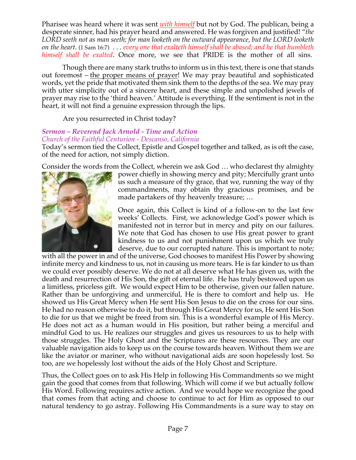Pharisee was heard where it was sent *with himself* but not by God. The publican, being a desperate sinner, had his prayer heard and answered. He was forgiven and justified! "*the LORD seeth not as man seeth; for man looketh on the outward appearance, but the LORD looketh on the heart*. (1 Sam 16:7) . . . *every one that exalteth himself shall be abased; and he that humbleth himself shall be exalted*. Once more, we see that PRIDE is the mother of all sins.

Though there are many stark truths to inform us in this text, there is one that stands out foremost – the proper means of prayer! We may pray beautiful and sophisticated words, yet the pride that motivated them sink them to the depths of the sea. We may pray with utter simplicity out of a sincere heart, and these simple and unpolished jewels of prayer may rise to the 'third heaven.' Attitude is everything. If the sentiment is not in the heart, it will not find a genuine expression through the lips.

Are you resurrected in Christ today?

#### *Sermon – Reverend Jack Arnold - Time and Action Church of the Faithful Centurion - Descanso, California*

Today's sermon tied the Collect, Epistle and Gospel together and talked, as is oft the case, of the need for action, not simply diction.

Consider the words from the Collect, wherein we ask God … who declarest thy almighty



power chiefly in showing mercy and pity; Mercifully grant unto us such a measure of thy grace, that we, running the way of thy commandments, may obtain thy gracious promises, and be made partakers of thy heavenly treasure; …

Once again, this Collect is kind of a follow-on to the last few weeks' Collects. First, we acknowledge God's power which is manifested not in terror but in mercy and pity on our failures. We note that God has chosen to use His great power to grant kindness to us and not punishment upon us which we truly deserve, due to our corrupted nature. This is important to note;

with all the power in and of the universe, God chooses to manifest His Power by showing infinite mercy and kindness to us, not in causing us more tears. He is far kinder to us than we could ever possibly deserve. We do not at all deserve what He has given us, with the death and resurrection of His Son, the gift of eternal life. He has truly bestowed upon us a limitless, priceless gift. We would expect Him to be otherwise, given our fallen nature. Rather than be unforgiving and unmerciful, He is there to comfort and help us. He showed us His Great Mercy when He sent His Son Jesus to die on the cross for our sins. He had no reason otherwise to do it, but through His Great Mercy for us, He sent His Son to die for us that we might be freed from sin. This is a wonderful example of His Mercy. He does not act as a human would in His position, but rather being a merciful and mindful God to us. He realizes our struggles and gives us resources to us to help with those struggles. The Holy Ghost and the Scriptures are these resources. They are our valuable navigation aids to keep us on the course towards heaven. Without them we are like the aviator or mariner, who without navigational aids are soon hopelessly lost. So too, are we hopelessly lost without the aids of the Holy Ghost and Scripture.

Thus, the Collect goes on to ask His Help in following His Commandments so we might gain the good that comes from that following. Which will come if we but actually follow His Word. Following requires active action. And we would hope we recognize the good that comes from that acting and choose to continue to act for Him as opposed to our natural tendency to go astray. Following His Commandments is a sure way to stay on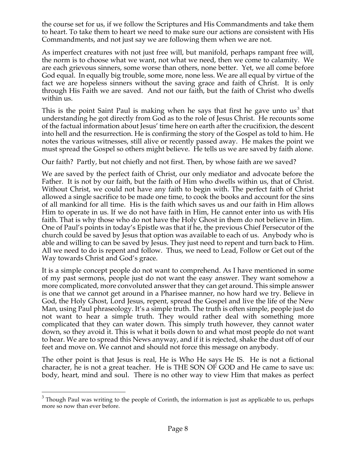the course set for us, if we follow the Scriptures and His Commandments and take them to heart. To take them to heart we need to make sure our actions are consistent with His Commandments, and not just say we are following them when we are not.

As imperfect creatures with not just free will, but manifold, perhaps rampant free will, the norm is to choose what we want, not what we need, then we come to calamity. We are each grievous sinners, some worse than others, none better. Yet, we all come before God equal. In equally big trouble, some more, none less. We are all equal by virtue of the fact we are hopeless sinners without the saving grace and faith of Christ. It is only through His Faith we are saved. And not our faith, but the faith of Christ who dwells within us.

This is the point Saint Paul is making when he says that first he gave unto  $us<sup>3</sup>$  that understanding he got directly from God as to the role of Jesus Christ. He recounts some of the factual information about Jesus' time here on earth after the crucifixion, the descent into hell and the resurrection. He is confirming the story of the Gospel as told to him. He notes the various witnesses, still alive or recently passed away. He makes the point we must spread the Gospel so others might believe. He tells us we are saved by faith alone.

Our faith? Partly, but not chiefly and not first. Then, by whose faith are we saved?

We are saved by the perfect faith of Christ, our only mediator and advocate before the Father. It is not by our faith, but the faith of Him who dwells within us, that of Christ. Without Christ, we could not have any faith to begin with. The perfect faith of Christ allowed a single sacrifice to be made one time, to cook the books and account for the sins of all mankind for all time. His is the faith which saves us and our faith in Him allows Him to operate in us. If we do not have faith in Him, He cannot enter into us with His faith. That is why those who do not have the Holy Ghost in them do not believe in Him. One of Paul's points in today's Epistle was that if he, the previous Chief Persecutor of the church could be saved by Jesus that option was available to each of us. Anybody who is able and willing to can be saved by Jesus. They just need to repent and turn back to Him. All we need to do is repent and follow. Thus, we need to Lead, Follow or Get out of the Way towards Christ and God's grace.

It is a simple concept people do not want to comprehend. As I have mentioned in some of my past sermons, people just do not want the easy answer. They want somehow a more complicated, more convoluted answer that they can get around. This simple answer is one that we cannot get around in a Pharisee manner, no how hard we try. Believe in God, the Holy Ghost, Lord Jesus, repent, spread the Gospel and live the life of the New Man, using Paul phraseology. It's a simple truth. The truth is often simple, people just do not want to hear a simple truth. They would rather deal with something more complicated that they can water down. This simply truth however, they cannot water down, so they avoid it. This is what it boils down to and what most people do not want to hear. We are to spread this News anyway, and if it is rejected, shake the dust off of our feet and move on. We cannot and should not force this message on anybody.

The other point is that Jesus is real, He is Who He says He IS. He is not a fictional character, he is not a great teacher. He is THE SON OF GOD and He came to save us: body, heart, mind and soul. There is no other way to view Him that makes as perfect

 $3$  Though Paul was writing to the people of Corinth, the information is just as applicable to us, perhaps more so now than ever before.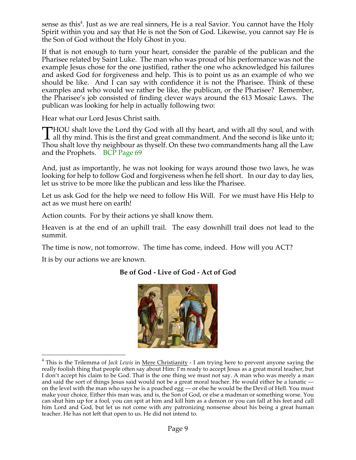sense as this $^4$ . Just as we are real sinners, He is a real Savior. You cannot have the Holy Spirit within you and say that He is not the Son of God. Likewise, you cannot say He is the Son of God without the Holy Ghost in you.

If that is not enough to turn your heart, consider the parable of the publican and the Pharisee related by Saint Luke. The man who was proud of his performance was not the example Jesus chose for the one justified, rather the one who acknowledged his failures and asked God for forgiveness and help. This is to point us as an example of who we should be like. And  $\overline{I}$  can say with confidence it is not the Pharisee. Think of these examples and who would we rather be like, the publican, or the Pharisee? Remember, the Pharisee's job consisted of finding clever ways around the 613 Mosaic Laws. The publican was looking for help in actually following two:

Hear what our Lord Jesus Christ saith.

**THOU** shalt love the Lord thy God with all thy heart, and with all thy soul, and with THOU shalt love the Lord thy God with all thy heart, and with all thy soul, and with<br>all thy mind. This is the first and great commandment. And the second is like unto it;<br>There is like unto it, and the second is like the Thou shalt love thy neighbour as thyself. On these two commandments hang all the Law and the Prophets. BCP Page 69

And, just as importantly, he was not looking for ways around those two laws, he was looking for help to follow God and forgiveness when he fell short. In our day to day lies, let us strive to be more like the publican and less like the Pharisee.

Let us ask God for the help we need to follow His Will. For we must have His Help to act as we must here on earth!

Action counts. For by their actions ye shall know them.

Heaven is at the end of an uphill trail. The easy downhill trail does not lead to the summit.

The time is now, not tomorrow. The time has come, indeed. How will you ACT?

It is by our actions we are known.

# **Be of God - Live of God - Act of God**



<sup>&</sup>lt;sup>4</sup> This is the Trilemma of *Jack Lewis* in <u>Mere Christianity</u> - I am trying here to prevent anyone saying the really foolish thing that people often say about Him: I'm ready to accept Jesus as a great moral teacher, but I don't accept his claim to be God. That is the one thing we must not say. A man who was merely a man and said the sort of things Jesus said would not be a great moral teacher. He would either be a lunatic on the level with the man who says he is a poached egg — or else he would be the Devil of Hell. You must make your choice. Either this man was, and is, the Son of God, or else a madman or something worse. You can shut him up for a fool, you can spit at him and kill him as a demon or you can fall at his feet and call him Lord and God, but let us not come with any patronizing nonsense about his being a great human teacher. He has not left that open to us. He did not intend to.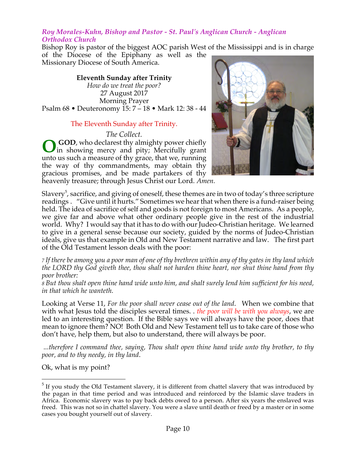#### *Roy Morales-Kuhn, Bishop and Pastor - St. Paul's Anglican Church - Anglican Orthodox Church*

Bishop Roy is pastor of the biggest AOC parish West of the Mississippi and is in charge of the Diocese of the Epiphany as well as the

Missionary Diocese of South America.

**Eleventh Sunday after Trinity** *How do we treat the poor?* 27 August 2017 Morning Prayer Psalm 68 • Deuteronomy 15: 7 – 18 • Mark 12: 38 - 44

## The Eleventh Sunday after Trinity.

*The Collect.*

GOD, who declarest thy almighty power chiefly in showing mercy and pity; Mercifully grant unto us such a measure of thy grace, that we, running the way of thy commandments, may obtain thy gracious promises, and be made partakers of thy **O**

heavenly treasure; through Jesus Christ our Lord. *Amen.*



Slavery $^5$ , sacrifice, and giving of oneself, these themes are in two of today's three scripture readings . "Give until it hurts." Sometimes we hear that when there is a fund-raiser being held. The idea of sacrifice of self and goods is not foreign to most Americans. As a people, we give far and above what other ordinary people give in the rest of the industrial world. Why? I would say that it has to do with our Judeo-Christian heritage. We learned to give in a general sense because our society, guided by the norms of Judeo-Christian ideals, give us that example in Old and New Testament narrative and law. The first part of the Old Testament lesson deals with the poor:

7 If there be among you a poor man of one of thy brethren within any of thy gates in thy land which *the LORD thy God giveth thee, thou shalt not harden thine heart, nor shut thine hand from thy poor brother:*

8 But thou shalt open thine hand wide unto him, and shalt surely lend him sufficient for his need, *in that which he wanteth.*

Looking at Verse 11, *For the poor shall never cease out of the land*. When we combine that with what Jesus told the disciples several times. . *the poor will be with you always*, we are led to an interesting question. If the Bible says we will always have the poor, does that mean to ignore them? NO! Both Old and New Testament tell us to take care of those who don't have, help them, but also to understand, there will always be poor.

*...therefore I command thee, saying, Thou shalt open thine hand wide unto thy brother, to thy poor, and to thy needy, in thy land*.

Ok, what is my point?

 $<sup>5</sup>$  If you study the Old Testament slavery, it is different from chattel slavery that was introduced by</sup> the pagan in that time period and was introduced and reinforced by the Islamic slave traders in Africa. Economic slavery was to pay back debts owed to a person. After six years the enslaved was freed. This was not so in chattel slavery. You were a slave until death or freed by a master or in some cases you bought yourself out of slavery.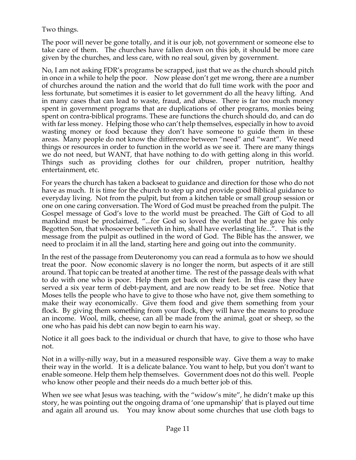Two things.

The poor will never be gone totally, and it is our job, not government or someone else to take care of them. The churches have fallen down on this job, it should be more care given by the churches, and less care, with no real soul, given by government.

No, I am not asking FDR's programs be scrapped, just that we as the church should pitch in once in a while to help the poor. Now please don't get me wrong, there are a number of churches around the nation and the world that do full time work with the poor and less fortunate, but sometimes it is easier to let government do all the heavy lifting. And in many cases that can lead to waste, fraud, and abuse. There is far too much money spent in government programs that are duplications of other programs, monies being spent on contra-biblical programs. These are functions the church should do, and can do with far less money. Helping those who can't help themselves, especially in how to avoid wasting money or food because they don't have someone to guide them in these areas. Many people do not know the difference between "need" and "want". We need things or resources in order to function in the world as we see it. There are many things we do not need, but WANT, that have nothing to do with getting along in this world. Things such as providing clothes for our children, proper nutrition, healthy entertainment, etc.

For years the church has taken a backseat to guidance and direction for those who do not have as much. It is time for the church to step up and provide good Biblical guidance to everyday living. Not from the pulpit, but from a kitchen table or small group session or one on one caring conversation. The Word of God must be preached from the pulpit. The Gospel message of God's love to the world must be preached. The Gift of God to all mankind must be proclaimed, "...for God so loved the world that he gave his only Begotten Son, that whosoever believeth in him, shall have everlasting life...". That is the message from the pulpit as outlined in the word of God. The Bible has the answer, we need to proclaim it in all the land, starting here and going out into the community.

In the rest of the passage from Deuteronomy you can read a formula as to how we should treat the poor. Now economic slavery is no longer the norm, but aspects of it are still around. That topic can be treated at another time. The rest of the passage deals with what to do with one who is poor. Help them get back on their feet. In this case they have served a six year term of debt-payment, and are now ready to be set free. Notice that Moses tells the people who have to give to those who have not, give them something to make their way economically. Give them food and give them something from your flock. By giving them something from your flock, they will have the means to produce an income. Wool, milk, cheese, can all be made from the animal, goat or sheep, so the one who has paid his debt can now begin to earn his way.

Notice it all goes back to the individual or church that have, to give to those who have not.

Not in a willy-nilly way, but in a measured responsible way. Give them a way to make their way in the world. It is a delicate balance. You want to help, but you don't want to enable someone. Help them help themselves. Government does not do this well. People who know other people and their needs do a much better job of this.

When we see what Jesus was teaching, with the "widow's mite", he didn't make up this story, he was pointing out the ongoing drama of 'one upmanship' that is played out time and again all around us. You may know about some churches that use cloth bags to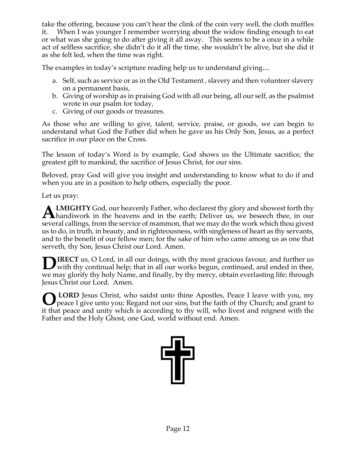take the offering, because you can't hear the clink of the coin very well, the cloth muffles it. When I was younger I remember worrying about the widow finding enough to eat or what was she going to do after giving it all away. This seems to be a once in a while act of selfless sacrifice, she didn't do it all the time, she wouldn't be alive, but she did it as she felt led, when the time was right.

The examples in today's scripture reading help us to understand giving....

- a. Self, such as service or as in the Old Testament , slavery and then volunteer slavery on a permanent basis,
- b. Giving of worship as in praising God with all our being, all our self, as the psalmist wrote in our psalm for today,
- c. Giving of our goods or treasures.

As those who are willing to give, talent, service, praise, or goods, we can begin to understand what God the Father did when he gave us his Only Son, Jesus, as a perfect sacrifice in our place on the Cross.

The lesson of today's Word is by example, God shows us the Ultimate sacrifice, the greatest gift to mankind, the sacrifice of Jesus Christ, for our sins.

Beloved, pray God will give you insight and understanding to know what to do if and when you are in a position to help others, especially the poor.

Let us pray:

**LMIGHTY** God, our heavenly Father, who declarest thy glory and showest forth thy **ALMIGHTY** God, our heavenly Father, who declarest thy glory and showest forth thy handiwork in the heavens and in the earth; Deliver us, we beseech thee, in our several callings, from the service of mammon, that we may do the work which thou givest us to do, in truth, in beauty, and in righteousness, with singleness of heart as thy servants, and to the benefit of our fellow men; for the sake of him who came among us as one that serveth, thy Son, Jesus Christ our Lord. Amen.

**IRECT** us, O Lord, in all our doings, with thy most gracious favour, and further us **D**IRECT us, O Lord, in all our doings, with thy most gracious favour, and further us with thy continual help; that in all our works begun, continued, and ended in thee, we may glorify thy holy Name, and finally, by thy mercy, obtain everlasting life; through Jesus Christ our Lord. Amen.

**LORD** Jesus Christ, who saidst unto thine Apostles, Peace I leave with you, my **O** LORD Jesus Christ, who saidst unto thine Apostles, Peace I leave with you, my peace I give unto you; Regard not our sins, but the faith of thy Church; and grant to it that peace and unity which is according to thy will, who livest and reignest with the Father and the Holy Ghost, one God, world without end. Amen.

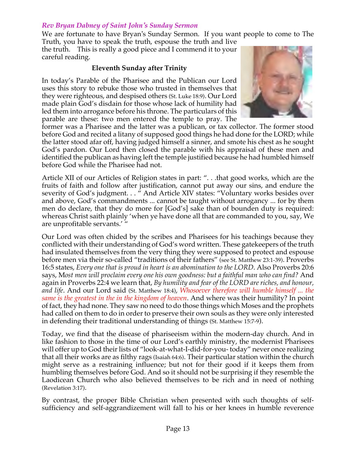#### *Rev Bryan Dabney of Saint John's Sunday Sermon*

We are fortunate to have Bryan's Sunday Sermon. If you want people to come to The Truth, you have to speak the truth, espouse the truth and live

the truth. This is really a good piece and I commend it to your careful reading.

#### **Eleventh Sunday after Trinity**

In today's Parable of the Pharisee and the Publican our Lord uses this story to rebuke those who trusted in themselves that they were righteous, and despised others (St. Luke 18:9). Our Lord made plain God's disdain for those whose lack of humility had led them into arrogance before his throne. The particulars of this parable are these: two men entered the temple to pray. The



former was a Pharisee and the latter was a publican, or tax collector. The former stood before God and recited a litany of supposed good things he had done for the LORD; while the latter stood afar off, having judged himself a sinner, and smote his chest as he sought God's pardon. Our Lord then closed the parable with his appraisal of these men and identified the publican as having left the temple justified because he had humbled himself before God while the Pharisee had not.

Article XII of our Articles of Religion states in part: ". . .that good works, which are the fruits of faith and follow after justification, cannot put away our sins, and endure the severity of God's judgment. . . " And Article XIV states: "Voluntary works besides over and above, God's commandments ... cannot be taught without arrogancy ... for by them men do declare, that they do more for [God's] sake than of bounden duty is required: whereas Christ saith plainly 'when ye have done all that are commanded to you, say, We are unprofitable servants.' "

Our Lord was often chided by the scribes and Pharisees for his teachings because they conflicted with their understanding of God's word written. These gatekeepers of the truth had insulated themselves from the very thing they were supposed to protect and espouse before men via their so-called "traditions of their fathers" (see St. Matthew 23:1-39). Proverbs 16:5 states, *Every one that is proud in heart is an abomination to the LORD*. Also Proverbs 20:6 says, M*ost men will proclaim every one his own goodness: but a faithful man who can find?* And again in Proverbs 22:4 we learn that, *By humility and fear of the LORD are riches, and honour, and life*. And our Lord said (St. Matthew 18:4), *Whosoever therefore will humble himself ... the same is the greatest in the in the kingdom of heaven*. And where was their humility? In point of fact, they had none. They saw no need to do those things which Moses and the prophets had called on them to do in order to preserve their own souls as they were only interested in defending their traditional understanding of things (St. Matthew 15:7-9).

Today, we find that the disease of phariseeism within the modern-day church. And in like fashion to those in the time of our Lord's earthly ministry, the modernist Pharisees will offer up to God their lists of "look-at-what-I-did-for-you-today" never once realizing that all their works are as filthy rags (Isaiah 64:6). Their particular station within the church might serve as a restraining influence; but not for their good if it keeps them from humbling themselves before God. And so it should not be surprising if they resemble the Laodicean Church who also believed themselves to be rich and in need of nothing (Revelation 3:17).

By contrast, the proper Bible Christian when presented with such thoughts of selfsufficiency and self-aggrandizement will fall to his or her knees in humble reverence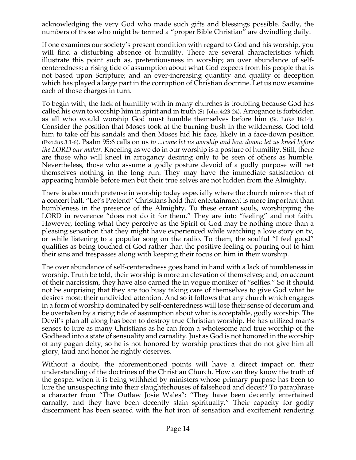acknowledging the very God who made such gifts and blessings possible. Sadly, the numbers of those who might be termed a "proper Bible Christian" are dwindling daily.

If one examines our society's present condition with regard to God and his worship, you will find a disturbing absence of humility. There are several characteristics which illustrate this point such as, pretentiousness in worship; an over abundance of selfcenteredness; a rising tide of assumption about what God expects from his people that is not based upon Scripture; and an ever-increasing quantity and quality of deception which has played a large part in the corruption of Christian doctrine. Let us now examine each of those charges in turn.

To begin with, the lack of humility with in many churches is troubling because God has called his own to worship him in spirit and in truth (St. John 4:23-24). Arrogance is forbidden as all who would worship God must humble themselves before him (St. Luke 18:14). Consider the position that Moses took at the burning bush in the wilderness. God told him to take off his sandals and then Moses hid his face, likely in a face-down position (Exodus 3:1-6). Psalm 95:6 calls on us *to ...come let us worship and bow down: let us kneel before the LORD our maker*. Kneeling as we do in our worship is a posture of humility. Still, there are those who will kneel in arrogancy desiring only to be seen of others as humble. Nevertheless, those who assume a godly posture devoid of a godly purpose will net themselves nothing in the long run. They may have the immediate satisfaction of appearing humble before men but their true selves are not hidden from the Almighty.

There is also much pretense in worship today especially where the church mirrors that of a concert hall. "Let's Pretend" Christians hold that entertainment is more important than humbleness in the presence of the Almighty. To these errant souls, worshipping the LORD in reverence "does not do it for them." They are into "feeling" and not faith. However, feeling what they perceive as the Spirit of God may be nothing more than a pleasing sensation that they might have experienced while watching a love story on tv, or while listening to a popular song on the radio. To them, the soulful "I feel good" qualifies as being touched of God rather than the positive feeling of pouring out to him their sins and trespasses along with keeping their focus on him in their worship.

The over abundance of self-centeredness goes hand in hand with a lack of humbleness in worship. Truth be told, their worship is more an elevation of themselves; and, on account of their narcissism, they have also earned the in vogue moniker of "selfies." So it should not be surprising that they are too busy taking care of themselves to give God what he desires most: their undivided attention. And so it follows that any church which engages in a form of worship dominated by self-centeredness will lose their sense of decorum and be overtaken by a rising tide of assumption about what is acceptable, godly worship. The Devil's plan all along has been to destroy true Christian worship. He has utilized man's senses to lure as many Christians as he can from a wholesome and true worship of the Godhead into a state of sensuality and carnality. Just as God is not honored in the worship of any pagan deity, so he is not honored by worship practices that do not give him all glory, laud and honor he rightly deserves.

Without a doubt, the aforementioned points will have a direct impact on their understanding of the doctrines of the Christian Church. How can they know the truth of the gospel when it is being withheld by ministers whose primary purpose has been to lure the unsuspecting into their slaughterhouses of falsehood and deceit? To paraphrase a character from "The Outlaw Josie Wales": "They have been decently entertained carnally, and they have been decently slain spiritually." Their capacity for godly discernment has been seared with the hot iron of sensation and excitement rendering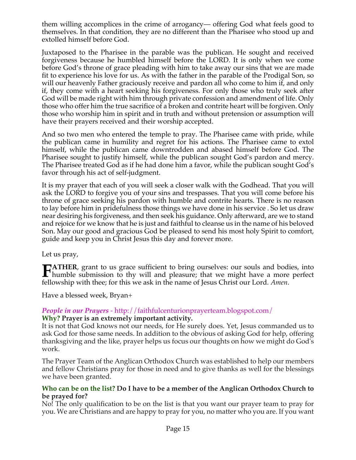them willing accomplices in the crime of arrogancy— offering God what feels good to themselves. In that condition, they are no different than the Pharisee who stood up and extolled himself before God.

Juxtaposed to the Pharisee in the parable was the publican. He sought and received forgiveness because he humbled himself before the LORD. It is only when we come before God's throne of grace pleading with him to take away our sins that we are made fit to experience his love for us. As with the father in the parable of the Prodigal Son, so will our heavenly Father graciously receive and pardon all who come to him if, and only if, they come with a heart seeking his forgiveness. For only those who truly seek after God will be made right with him through private confession and amendment of life. Only those who offer him the true sacrifice of a broken and contrite heart will be forgiven. Only those who worship him in spirit and in truth and without pretension or assumption will have their prayers received and their worship accepted.

And so two men who entered the temple to pray. The Pharisee came with pride, while the publican came in humility and regret for his actions. The Pharisee came to extol himself, while the publican came downtrodden and abased himself before God. The Pharisee sought to justify himself, while the publican sought God's pardon and mercy. The Pharisee treated God as if he had done him a favor, while the publican sought God's favor through his act of self-judgment.

It is my prayer that each of you will seek a closer walk with the Godhead. That you will ask the LORD to forgive you of your sins and trespasses. That you will come before his throne of grace seeking his pardon with humble and contrite hearts. There is no reason to lay before him in pridefulness those things we have done in his service . So let us draw near desiring his forgiveness, and then seek his guidance. Only afterward, are we to stand and rejoice for we know that he is just and faithful to cleanse us in the name of his beloved Son. May our good and gracious God be pleased to send his most holy Spirit to comfort, guide and keep you in Christ Jesus this day and forever more.

Let us pray,

**ATHER**, grant to us grace sufficient to bring ourselves: our souls and bodies, into **humble submission to thy will and pleasure; that we might have a more perfect**<br> **Fhumble submission to thy will and pleasure; that we might have a more perfect** fellowship with thee; for this we ask in the name of Jesus Christ our Lord. *Amen*.

Have a blessed week, Bryan+

#### *People in our Prayers* - http://faithfulcenturionprayerteam.blogspot.com/ **Why? Prayer is an extremely important activity.**

It is not that God knows not our needs, for He surely does. Yet, Jesus commanded us to ask God for those same needs. In addition to the obvious of asking God for help, offering thanksgiving and the like, prayer helps us focus our thoughts on how we might do God's work.

The Prayer Team of the Anglican Orthodox Church was established to help our members and fellow Christians pray for those in need and to give thanks as well for the blessings we have been granted.

#### **Who can be on the list? Do I have to be a member of the Anglican Orthodox Church to be prayed for?**

No! The only qualification to be on the list is that you want our prayer team to pray for you. We are Christians and are happy to pray for you, no matter who you are. If you want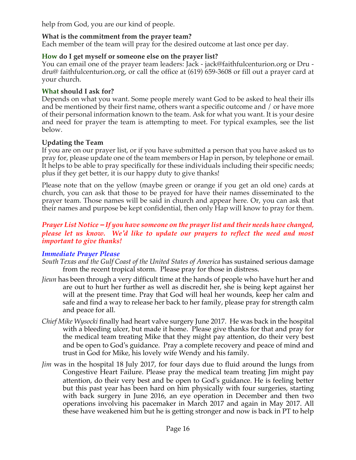help from God, you are our kind of people.

## **What is the commitment from the prayer team?**

Each member of the team will pray for the desired outcome at last once per day.

## **How do I get myself or someone else on the prayer list?**

You can email one of the prayer team leaders: Jack - jack@faithfulcenturion.org or Dru dru@ faithfulcenturion.org, or call the office at (619) 659-3608 or fill out a prayer card at your church.

#### **What should I ask for?**

Depends on what you want. Some people merely want God to be asked to heal their ills and be mentioned by their first name, others want a specific outcome and / or have more of their personal information known to the team. Ask for what you want. It is your desire and need for prayer the team is attempting to meet. For typical examples, see the list below.

## **Updating the Team**

If you are on our prayer list, or if you have submitted a person that you have asked us to pray for, please update one of the team members or Hap in person, by telephone or email. It helps to be able to pray specifically for these individuals including their specific needs; plus if they get better, it is our happy duty to give thanks!

Please note that on the yellow (maybe green or orange if you get an old one) cards at church, you can ask that those to be prayed for have their names disseminated to the prayer team. Those names will be said in church and appear here. Or, you can ask that their names and purpose be kept confidential, then only Hap will know to pray for them.

## *Prayer List Notice – If you have someone on the prayer list and their needs have changed, please let us know. We'd like to update our prayers to reflect the need and most important to give thanks!*

## *Immediate Prayer Please*

- *South Texas and the Gulf Coast of the United States of America* has sustained serious damage from the recent tropical storm. Please pray for those in distress.
- *Jieun* has been through a very difficult time at the hands of people who have hurt her and are out to hurt her further as well as discredit her, she is being kept against her will at the present time. Pray that God will heal her wounds, keep her calm and safe and find a way to release her back to her family, please pray for strength calm and peace for all.
- *Chief Mike Wysocki* finally had heart valve surgery June 2017. He was back in the hospital with a bleeding ulcer, but made it home. Please give thanks for that and pray for the medical team treating Mike that they might pay attention, do their very best and be open to God's guidance. Pray a complete recovery and peace of mind and trust in God for Mike, his lovely wife Wendy and his family.
- *Jim* was in the hospital 18 July 2017, for four days due to fluid around the lungs from Congestive Heart Failure. Please pray the medical team treating Jim might pay attention, do their very best and be open to God's guidance. He is feeling better but this past year has been hard on him physically with four surgeries, starting with back surgery in June 2016, an eye operation in December and then two operations involving his pacemaker in March 2017 and again in May 2017. All these have weakened him but he is getting stronger and now is back in PT to help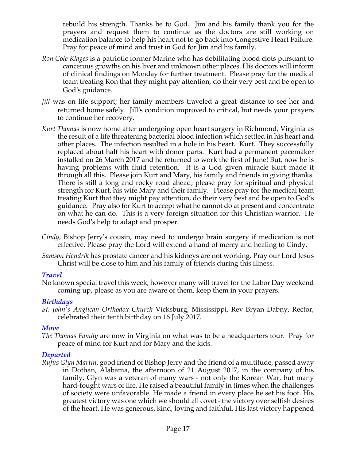rebuild his strength. Thanks be to God. Jim and his family thank you for the prayers and request them to continue as the doctors are still working on medication balance to help his heart not to go back into Congestive Heart Failure. Pray for peace of mind and trust in God for Jim and his family.

- *Ron Cole Klages* is a patriotic former Marine who has debilitating blood clots pursuant to cancerous growths on his liver and unknown other places. His doctors will inform of clinical findings on Monday for further treatment. Please pray for the medical team treating Ron that they might pay attention, do their very best and be open to God's guidance.
- *Jill* was on life support; her family members traveled a great distance to see her and returned home safely. Jill's condition improved to critical, but needs your prayers to continue her recovery.
- *Kurt Thomas* is now home after undergoing open heart surgery in Richmond, Virginia as the result of a life threatening bacterial blood infection which settled in his heart and other places. The infection resulted in a hole in his heart. Kurt. They successfully replaced about half his heart with donor parts. Kurt had a permanent pacemaker installed on 26 March 2017 and he returned to work the first of June! But, now he is having problems with fluid retention. It is a God given miracle Kurt made it through all this. Please join Kurt and Mary, his family and friends in giving thanks. There is still a long and rocky road ahead; please pray for spiritual and physical strength for Kurt, his wife Mary and their family. Please pray for the medical team treating Kurt that they might pay attention, do their very best and be open to God's guidance. Pray also for Kurt to accept what he cannot do at present and concentrate on what he can do. This is a very foreign situation for this Christian warrior. He needs God's help to adapt and prosper.
- *Cindy,* Bishop Jerry's cousin, may need to undergo brain surgery if medication is not effective. Please pray the Lord will extend a hand of mercy and healing to Cindy.
- *Samson Hendrik* has prostate cancer and his kidneys are not working. Pray our Lord Jesus Christ will be close to him and his family of friends during this illness.

## *Travel*

No known special travel this week, however many will travel for the Labor Day weekend coming up, please as you are aware of them, keep them in your prayers.

## *Birthdays*

*St. John's Anglican Orthodox Church* Vicksburg, Mississippi, Rev Bryan Dabny, Rector, celebrated their tenth birthday on 16 July 2017.

## *Move*

*The Thomas Family* are now in Virginia on what was to be a headquarters tour. Pray for peace of mind for Kurt and for Mary and the kids.

## *Departed*

*Rufus Glyn Martin,* good friend of Bishop Jerry and the friend of a multitude, passed away in Dothan, Alabama, the afternoon of 21 August 2017, in the company of his family. Glyn was a veteran of many wars - not only the Korean War, but many hard-fought wars of life. He raised a beautiful family in times when the challenges of society were unfavorable. He made a friend in every place he set his foot. His greatest victory was one which we should all covet - the victory over selfish desires of the heart. He was generous, kind, loving and faithful. His last victory happened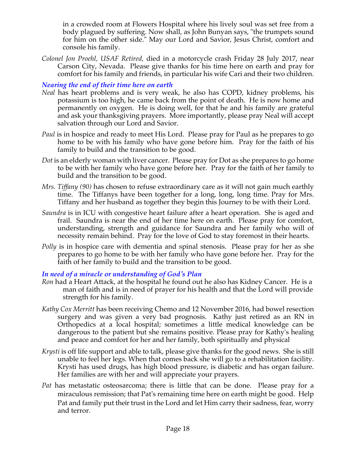in a crowded room at Flowers Hospital where his lively soul was set free from a body plagued by suffering. Now shall, as John Bunyan says, "the trumpets sound for him on the other side." May our Lord and Savior, Jesus Christ, comfort and console his family.

*Colonel Jon Proehl, USAF Retired,* died in a motorcycle crash Friday 28 July 2017, near Carson City, Nevada. Please give thanks for his time here on earth and pray for comfort for his family and friends, in particular his wife Cari and their two children.

## *Nearing the end of their time here on earth*

- *Neal* has heart problems and is very weak, he also has COPD, kidney problems, his potassium is too high, he came back from the point of death. He is now home and permanently on oxygen. He is doing well, for that he and his family are grateful and ask your thanksgiving prayers. More importantly, please pray Neal will accept salvation through our Lord and Savior.
- *Paul* is in hospice and ready to meet His Lord. Please pray for Paul as he prepares to go home to be with his family who have gone before him. Pray for the faith of his family to build and the transition to be good.
- *Dot* is an elderly woman with liver cancer. Please pray for Dot as she prepares to go home to be with her family who have gone before her. Pray for the faith of her family to build and the transition to be good.
- *Mrs. Tiffany (90)* has chosen to refuse extraordinary care as it will not gain much earthly time. The Tiffanys have been together for a long, long, long time. Pray for Mrs. Tiffany and her husband as together they begin this Journey to be with their Lord.
- *Saundra* is in ICU with congestive heart failure after a heart operation. She is aged and frail. Saundra is near the end of her time here on earth. Please pray for comfort, understanding, strength and guidance for Saundra and her family who will of necessity remain behind. Pray for the love of God to stay foremost in their hearts.
- *Polly* is in hospice care with dementia and spinal stenosis. Please pray for her as she prepares to go home to be with her family who have gone before her. Pray for the faith of her family to build and the transition to be good.

## *In need of a miracle or understanding of God's Plan*

- *Ron* had a Heart Attack, at the hospital he found out he also has Kidney Cancer. He is a man of faith and is in need of prayer for his health and that the Lord will provide strength for his family.
- *Kathy Cox Merritt* has been receiving Chemo and 12 November 2016, had bowel resection surgery and was given a very bad prognosis. Kathy just retired as an RN in Orthopedics at a local hospital; sometimes a little medical knowledge can be dangerous to the patient but she remains positive. Please pray for Kathy's healing and peace and comfort for her and her family, both spiritually and physical
- *Krysti* is off life support and able to talk, please give thanks for the good news. She is still unable to feel her legs. When that comes back she will go to a rehabilitation facility. Krysti has used drugs, has high blood pressure, is diabetic and has organ failure. Her families are with her and will appreciate your prayers.
- *Pat* has metastatic osteosarcoma; there is little that can be done. Please pray for a miraculous remission; that Pat's remaining time here on earth might be good. Help Pat and family put their trust in the Lord and let Him carry their sadness, fear, worry and terror.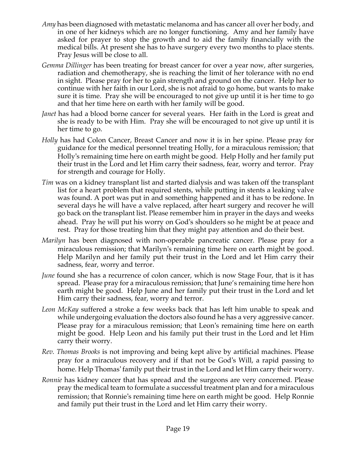- *Amy* has been diagnosed with metastatic melanoma and has cancer all over her body, and in one of her kidneys which are no longer functioning. Amy and her family have asked for prayer to stop the growth and to aid the family financially with the medical bills. At present she has to have surgery every two months to place stents. Pray Jesus will be close to all.
- *Gemma Dillinger* has been treating for breast cancer for over a year now, after surgeries, radiation and chemotherapy, she is reaching the limit of her tolerance with no end in sight. Please pray for her to gain strength and ground on the cancer. Help her to continue with her faith in our Lord, she is not afraid to go home, but wants to make sure it is time. Pray she will be encouraged to not give up until it is her time to go and that her time here on earth with her family will be good.
- *Janet* has had a blood borne cancer for several years. Her faith in the Lord is great and she is ready to be with Him. Pray she will be encouraged to not give up until it is her time to go.
- *Holly* has had Colon Cancer, Breast Cancer and now it is in her spine. Please pray for guidance for the medical personnel treating Holly, for a miraculous remission; that Holly's remaining time here on earth might be good. Help Holly and her family put their trust in the Lord and let Him carry their sadness, fear, worry and terror. Pray for strength and courage for Holly.
- *Tim* was on a kidney transplant list and started dialysis and was taken off the transplant list for a heart problem that required stents, while putting in stents a leaking valve was found. A port was put in and something happened and it has to be redone. In several days he will have a valve replaced, after heart surgery and recover he will go back on the transplant list. Please remember him in prayer in the days and weeks ahead. Pray he will put his worry on God's shoulders so he might be at peace and rest. Pray for those treating him that they might pay attention and do their best.
- *Marilyn* has been diagnosed with non-operable pancreatic cancer. Please pray for a miraculous remission; that Marilyn's remaining time here on earth might be good. Help Marilyn and her family put their trust in the Lord and let Him carry their sadness, fear, worry and terror.
- *June* found she has a recurrence of colon cancer, which is now Stage Four, that is it has spread. Please pray for a miraculous remission; that June's remaining time here hon earth might be good. Help June and her family put their trust in the Lord and let Him carry their sadness, fear, worry and terror.
- *Leon McKay* suffered a stroke a few weeks back that has left him unable to speak and while undergoing evaluation the doctors also found he has a very aggressive cancer. Please pray for a miraculous remission; that Leon's remaining time here on earth might be good. Help Leon and his family put their trust in the Lord and let Him carry their worry.
- *Rev. Thomas Brooks* is not improving and being kept alive by artificial machines. Please pray for a miraculous recovery and if that not be God's Will, a rapid passing to home. Help Thomas' family put their trust in the Lord and let Him carry their worry.
- *Ronnie* has kidney cancer that has spread and the surgeons are very concerned. Please pray the medical team to formulate a successful treatment plan and for a miraculous remission; that Ronnie's remaining time here on earth might be good. Help Ronnie and family put their trust in the Lord and let Him carry their worry.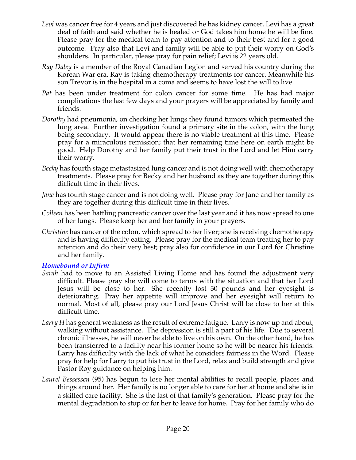- *Levi* was cancer free for 4 years and just discovered he has kidney cancer. Levi has a great deal of faith and said whether he is healed or God takes him home he will be fine. Please pray for the medical team to pay attention and to their best and for a good outcome. Pray also that Levi and family will be able to put their worry on God's shoulders. In particular, please pray for pain relief; Levi is 22 years old.
- *Ray Daley* is a member of the Royal Canadian Legion and served his country during the Korean War era. Ray is taking chemotherapy treatments for cancer. Meanwhile his son Trevor is in the hospital in a coma and seems to have lost the will to live.
- *Pat* has been under treatment for colon cancer for some time. He has had major complications the last few days and your prayers will be appreciated by family and friends.
- *Dorothy* had pneumonia, on checking her lungs they found tumors which permeated the lung area. Further investigation found a primary site in the colon, with the lung being secondary. It would appear there is no viable treatment at this time. Please pray for a miraculous remission; that her remaining time here on earth might be good. Help Dorothy and her family put their trust in the Lord and let Him carry their worry.
- *Becky* has fourth stage metastasized lung cancer and is not doing well with chemotherapy treatments. Please pray for Becky and her husband as they are together during this difficult time in their lives.
- *Jane* has fourth stage cancer and is not doing well. Please pray for Jane and her family as they are together during this difficult time in their lives.
- *Colleen* has been battling pancreatic cancer over the last year and it has now spread to one of her lungs. Please keep her and her family in your prayers.
- *Christine* has cancer of the colon, which spread to her liver; she is receiving chemotherapy and is having difficulty eating. Please pray for the medical team treating her to pay attention and do their very best; pray also for confidence in our Lord for Christine and her family.

## *Homebound or Infirm*

- *Sarah* had to move to an Assisted Living Home and has found the adjustment very difficult. Please pray she will come to terms with the situation and that her Lord Jesus will be close to her. She recently lost 30 pounds and her eyesight is deteriorating. Pray her appetite will improve and her eyesight will return to normal. Most of all, please pray our Lord Jesus Christ will be close to her at this difficult time.
- *Larry H* has general weakness as the result of extreme fatigue. Larry is now up and about, walking without assistance. The depression is still a part of his life. Due to several chronic illnesses, he will never be able to live on his own. On the other hand, he has been transferred to a facility near his former home so he will be nearer his friends. Larry has difficulty with the lack of what he considers fairness in the Word. Please pray for help for Larry to put his trust in the Lord, relax and build strength and give Pastor Roy guidance on helping him.
- *Laurel Bessessen* (95) has begun to lose her mental abilities to recall people, places and things around her. Her family is no longer able to care for her at home and she is in a skilled care facility. She is the last of that family's generation. Please pray for the mental degradation to stop or for her to leave for home. Pray for her family who do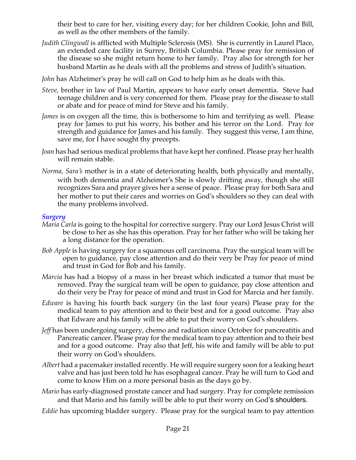their best to care for her, visiting every day; for her children Cookie, John and Bill, as well as the other members of the family.

- *Judith Clingwall* is afflicted with Multiple Sclerosis (MS). She is currently in Laurel Place, an extended care facility in Surrey, British Columbia. Please pray for remission of the disease so she might return home to her family. Pray also for strength for her husband Martin as he deals with all the problems and stress of Judith's situation.
- *John* has Alzheimer's pray he will call on God to help him as he deals with this.
- *Steve,* brother in law of Paul Martin, appears to have early onset dementia. Steve had teenage children and is very concerned for them. Please pray for the disease to stall or abate and for peace of mind for Steve and his family.
- *James* is on oxygen all the time, this is bothersome to him and terrifying as well. Please pray for James to put his worry, his bother and his terror on the Lord. Pray for strength and guidance for James and his family. They suggest this verse, I am thine, save me, for I have sought thy precepts.
- *Joan* has had serious medical problems that have kept her confined. Please pray her health will remain stable.
- *Norma, Sara's* mother is in a state of deteriorating health, both physically and mentally, with both dementia and Alzheimer's She is slowly drifting away, though she still recognizes Sara and prayer gives her a sense of peace. Please pray for both Sara and her mother to put their cares and worries on God's shoulders so they can deal with the many problems involved.

#### *Surgery*

- *Maria Carla* is going to the hospital for corrective surgery. Pray our Lord Jesus Christ will be close to her as she has this operation. Pray for her father who will be taking her a long distance for the operation.
- *Bob Apple* is having surgery for a squamous cell carcinoma. Pray the surgical team will be open to guidance, pay close attention and do their very be Pray for peace of mind and trust in God for Bob and his family.
- *Marcia* has had a biopsy of a mass in her breast which indicated a tumor that must be removed. Pray the surgical team will be open to guidance, pay close attention and do their very be Pray for peace of mind and trust in God for Marcia and her family.
- *Edware* is having his fourth back surgery (in the last four years) Please pray for the medical team to pay attention and to their best and for a good outcome. Pray also that Edware and his family will be able to put their worry on God's shoulders.
- *Jeff* has been undergoing surgery, chemo and radiation since October for pancreatitis and Pancreatic cancer. Please pray for the medical team to pay attention and to their best and for a good outcome. Pray also that Jeff, his wife and family will be able to put their worry on God's shoulders.
- *Albert* had a pacemaker installed recently. He will require surgery soon for a leaking heart valve and has just been told he has esophageal cancer. Pray he will turn to God and come to know Him on a more personal basis as the days go by.
- *Mario* has early-diagnosed prostate cancer and had surgery. Pray for complete remission and that Mario and his family will be able to put their worry on God's shoulders.
- *Eddie* has upcoming bladder surgery. Please pray for the surgical team to pay attention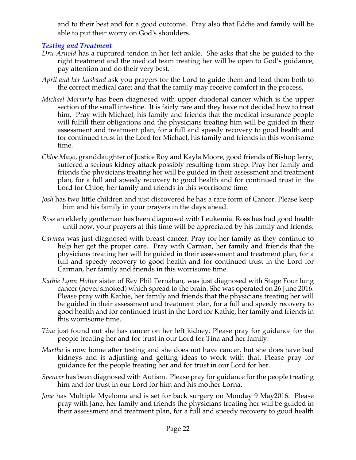and to their best and for a good outcome. Pray also that Eddie and family will be able to put their worry on God's shoulders.

# *Testing and Treatment*

- *Dru Arnold* has a ruptured tendon in her left ankle. She asks that she be guided to the right treatment and the medical team treating her will be open to God's guidance, pay attention and do their very best.
- *April and her husband* ask you prayers for the Lord to guide them and lead them both to the correct medical care; and that the family may receive comfort in the process.
- *Michael Moriarty* has been diagnosed with upper duodenal cancer which is the upper section of the small intestine. It is fairly rare and they have not decided how to treat him. Pray with Michael, his family and friends that the medical insurance people will fulfill their obligations and the physicians treating him will be guided in their assessment and treatment plan, for a full and speedy recovery to good health and for continued trust in the Lord for Michael, his family and friends in this worrisome time.
- *Chloe Mayo*, granddaughter of Justice Roy and Kayla Moore, good friends of Bishop Jerry, suffered a serious kidney attack possibly resulting from strep. Pray her family and friends the physicians treating her will be guided in their assessment and treatment plan, for a full and speedy recovery to good health and for continued trust in the Lord for Chloe, her family and friends in this worrisome time.
- *Josh* has two little children and just discovered he has a rare form of Cancer. Please keep him and his family in your prayers in the days ahead.
- *Ross* an elderly gentleman has been diagnosed with Leukemia. Ross has had good health until now, your prayers at this time will be appreciated by his family and friends.
- *Carman* was just diagnosed with breast cancer. Pray for her family as they continue to help her get the proper care. Pray with Carman, her family and friends that the physicians treating her will be guided in their assessment and treatment plan, for a full and speedy recovery to good health and for continued trust in the Lord for Carman, her family and friends in this worrisome time.
- *Kathie Lynn Holter* sister of Rev Phil Ternahan, was just diagnosed with Stage Four lung cancer (never smoked) which spread to the brain. She was operated on 26 June 2016. Please pray with Kathie, her family and friends that the physicians treating her will be guided in their assessment and treatment plan, for a full and speedy recovery to good health and for continued trust in the Lord for Kathie, her family and friends in this worrisome time.
- *Tina* just found out she has cancer on her left kidney. Please pray for guidance for the people treating her and for trust in our Lord for Tina and her family.
- *Martha* is now home after testing and she does not have cancer, but she does have bad kidneys and is adjusting and getting ideas to work with that. Please pray for guidance for the people treating her and for trust in our Lord for her.
- *Spencer* has been diagnosed with Autism. Please pray for guidance for the people treating him and for trust in our Lord for him and his mother Lorna.
- *Jane* has Multiple Myeloma and is set for back surgery on Monday 9 May2016. Please pray with Jane, her family and friends the physicians treating her will be guided in their assessment and treatment plan, for a full and speedy recovery to good health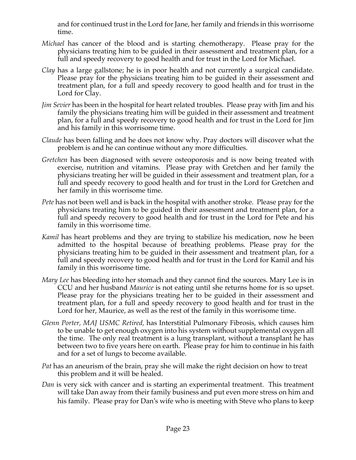and for continued trust in the Lord for Jane, her family and friends in this worrisome time.

- *Michael* has cancer of the blood and is starting chemotherapy. Please pray for the physicians treating him to be guided in their assessment and treatment plan, for a full and speedy recovery to good health and for trust in the Lord for Michael.
- *Clay* has a large gallstone; he is in poor health and not currently a surgical candidate. Please pray for the physicians treating him to be guided in their assessment and treatment plan, for a full and speedy recovery to good health and for trust in the Lord for Clay.
- *Jim Sevier* has been in the hospital for heart related troubles. Please pray with Jim and his family the physicians treating him will be guided in their assessment and treatment plan, for a full and speedy recovery to good health and for trust in the Lord for Jim and his family in this worrisome time.
- *Claude* has been falling and he does not know why. Pray doctors will discover what the problem is and he can continue without any more difficulties.
- *Gretchen* has been diagnosed with severe osteoporosis and is now being treated with exercise, nutrition and vitamins. Please pray with Gretchen and her family the physicians treating her will be guided in their assessment and treatment plan, for a full and speedy recovery to good health and for trust in the Lord for Gretchen and her family in this worrisome time.
- *Pete* has not been well and is back in the hospital with another stroke. Please pray for the physicians treating him to be guided in their assessment and treatment plan, for a full and speedy recovery to good health and for trust in the Lord for Pete and his family in this worrisome time.
- *Kamil* has heart problems and they are trying to stabilize his medication, now he been admitted to the hospital because of breathing problems. Please pray for the physicians treating him to be guided in their assessment and treatment plan, for a full and speedy recovery to good health and for trust in the Lord for Kamil and his family in this worrisome time.
- *Mary Lee* has bleeding into her stomach and they cannot find the sources. Mary Lee is in CCU and her husband *Maurice* is not eating until she returns home for is so upset. Please pray for the physicians treating her to be guided in their assessment and treatment plan, for a full and speedy recovery to good health and for trust in the Lord for her, Maurice, as well as the rest of the family in this worrisome time.
- *Glenn Porter, MAJ USMC Retired,* has Interstitial Pulmonary Fibrosis, which causes him to be unable to get enough oxygen into his system without supplemental oxygen all the time. The only real treatment is a lung transplant, without a transplant he has between two to five years here on earth. Please pray for him to continue in his faith and for a set of lungs to become available.
- *Pat* has an aneurism of the brain, pray she will make the right decision on how to treat this problem and it will be healed.
- *Dan* is very sick with cancer and is starting an experimental treatment. This treatment will take Dan away from their family business and put even more stress on him and his family. Please pray for Dan's wife who is meeting with Steve who plans to keep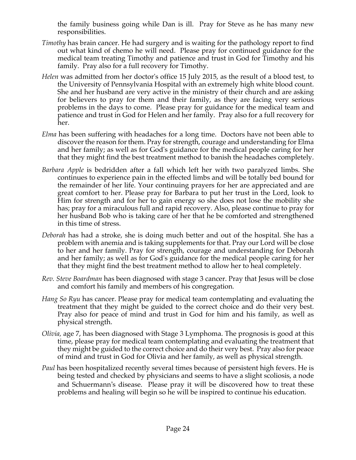the family business going while Dan is ill. Pray for Steve as he has many new responsibilities.

- *Timothy* has brain cancer. He had surgery and is waiting for the pathology report to find out what kind of chemo he will need. Please pray for continued guidance for the medical team treating Timothy and patience and trust in God for Timothy and his family. Pray also for a full recovery for Timothy.
- *Helen* was admitted from her doctor's office 15 July 2015, as the result of a blood test, to the University of Pennsylvania Hospital with an extremely high white blood count. She and her husband are very active in the ministry of their church and are asking for believers to pray for them and their family, as they are facing very serious problems in the days to come. Please pray for guidance for the medical team and patience and trust in God for Helen and her family. Pray also for a full recovery for her.
- *Elma* has been suffering with headaches for a long time. Doctors have not been able to discover the reason for them. Pray for strength, courage and understanding for Elma and her family; as well as for God's guidance for the medical people caring for her that they might find the best treatment method to banish the headaches completely.
- *Barbara Apple* is bedridden after a fall which left her with two paralyzed limbs. She continues to experience pain in the effected limbs and will be totally bed bound for the remainder of her life. Your continuing prayers for her are appreciated and are great comfort to her. Please pray for Barbara to put her trust in the Lord, look to Him for strength and for her to gain energy so she does not lose the mobility she has; pray for a miraculous full and rapid recovery. Also, please continue to pray for her husband Bob who is taking care of her that he be comforted and strengthened in this time of stress.
- *Deborah* has had a stroke, she is doing much better and out of the hospital. She has a problem with anemia and is taking supplements for that. Pray our Lord will be close to her and her family. Pray for strength, courage and understanding for Deborah and her family; as well as for God's guidance for the medical people caring for her that they might find the best treatment method to allow her to heal completely.
- *Rev. Steve Boardman* has been diagnosed with stage 3 cancer. Pray that Jesus will be close and comfort his family and members of his congregation*.*
- *Hang So Ryu* has cancer. Please pray for medical team contemplating and evaluating the treatment that they might be guided to the correct choice and do their very best. Pray also for peace of mind and trust in God for him and his family, as well as physical strength.
- *Olivia,* age 7, has been diagnosed with Stage 3 Lymphoma. The prognosis is good at this time, please pray for medical team contemplating and evaluating the treatment that they might be guided to the correct choice and do their very best. Pray also for peace of mind and trust in God for Olivia and her family, as well as physical strength.
- *Paul* has been hospitalized recently several times because of persistent high fevers. He is being tested and checked by physicians and seems to have a slight scoliosis, a node and Schuermann's disease. Please pray it will be discovered how to treat these problems and healing will begin so he will be inspired to continue his education.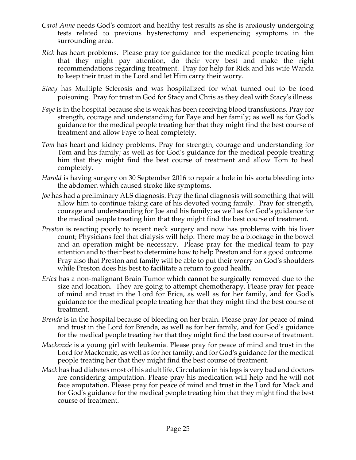- *Carol Anne* needs God's comfort and healthy test results as she is anxiously undergoing tests related to previous hysterectomy and experiencing symptoms in the surrounding area.
- *Rick* has heart problems. Please pray for guidance for the medical people treating him that they might pay attention, do their very best and make the right recommendations regarding treatment. Pray for help for Rick and his wife Wanda to keep their trust in the Lord and let Him carry their worry.
- *Stacy* has Multiple Sclerosis and was hospitalized for what turned out to be food poisoning. Pray for trust in God for Stacy and Chris as they deal with Stacy's illness.
- *Faye* is in the hospital because she is weak has been receiving blood transfusions. Pray for strength, courage and understanding for Faye and her family; as well as for God's guidance for the medical people treating her that they might find the best course of treatment and allow Faye to heal completely.
- *Tom* has heart and kidney problems. Pray for strength, courage and understanding for Tom and his family; as well as for God's guidance for the medical people treating him that they might find the best course of treatment and allow Tom to heal completely.
- *Harold* is having surgery on 30 September 2016 to repair a hole in his aorta bleeding into the abdomen which caused stroke like symptoms.
- *Joe* has had a preliminary ALS diagnosis. Pray the final diagnosis will something that will allow him to continue taking care of his devoted young family. Pray for strength, courage and understanding for Joe and his family; as well as for God's guidance for the medical people treating him that they might find the best course of treatment.
- *Preston* is reacting poorly to recent neck surgery and now has problems with his liver count; Physicians feel that dialysis will help. There may be a blockage in the bowel and an operation might be necessary. Please pray for the medical team to pay attention and to their best to determine how to help Preston and for a good outcome. Pray also that Preston and family will be able to put their worry on God's shoulders while Preston does his best to facilitate a return to good health.
- *Erica* has a non-malignant Brain Tumor which cannot be surgically removed due to the size and location. They are going to attempt chemotherapy. Please pray for peace of mind and trust in the Lord for Erica, as well as for her family, and for God's guidance for the medical people treating her that they might find the best course of treatment.
- *Brenda* is in the hospital because of bleeding on her brain. Please pray for peace of mind and trust in the Lord for Brenda, as well as for her family, and for God's guidance for the medical people treating her that they might find the best course of treatment.
- *Mackenzie* is a young girl with leukemia. Please pray for peace of mind and trust in the Lord for Mackenzie, as well as for her family, and for God's guidance for the medical people treating her that they might find the best course of treatment.
- *Mack* has had diabetes most of his adult life. Circulation in his legs is very bad and doctors are considering amputation. Please pray his medication will help and he will not face amputation. Please pray for peace of mind and trust in the Lord for Mack and for God's guidance for the medical people treating him that they might find the best course of treatment.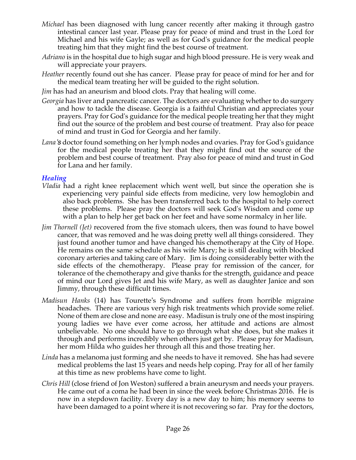- *Michael* has been diagnosed with lung cancer recently after making it through gastro intestinal cancer last year. Please pray for peace of mind and trust in the Lord for Michael and his wife Gayle; as well as for God's guidance for the medical people treating him that they might find the best course of treatment.
- *Adriano* is in the hospital due to high sugar and high blood pressure. He is very weak and will appreciate your prayers.
- *Heather* recently found out she has cancer. Please pray for peace of mind for her and for the medical team treating her will be guided to the right solution.
- *Jim* has had an aneurism and blood clots. Pray that healing will come.
- *Georgia* has liver and pancreatic cancer. The doctors are evaluating whether to do surgery and how to tackle the disease. Georgia is a faithful Christian and appreciates your prayers. Pray for God's guidance for the medical people treating her that they might find out the source of the problem and best course of treatment. Pray also for peace of mind and trust in God for Georgia and her family.
- *Lana's* doctor found something on her lymph nodes and ovaries. Pray for God's guidance for the medical people treating her that they might find out the source of the problem and best course of treatment. Pray also for peace of mind and trust in God for Lana and her family.

#### *Healing*

- *Vladia* had a right knee replacement which went well, but since the operation she is experiencing very painful side effects from medicine, very low hemoglobin and also back problems. She has been transferred back to the hospital to help correct these problems. Please pray the doctors will seek God's Wisdom and come up with a plan to help her get back on her feet and have some normalcy in her life.
- *Jim Thornell (Jet)* recovered from the five stomach ulcers, then was found to have bowel cancer, that was removed and he was doing pretty well all things considered. They just found another tumor and have changed his chemotherapy at the City of Hope. He remains on the same schedule as his wife Mary; he is still dealing with blocked coronary arteries and taking care of Mary. Jim is doing considerably better with the side effects of the chemotherapy. Please pray for remission of the cancer, for tolerance of the chemotherapy and give thanks for the strength, guidance and peace of mind our Lord gives Jet and his wife Mary, as well as daughter Janice and son Jimmy, through these difficult times.
- *Madisun Hanks* (14) has Tourette's Syndrome and suffers from horrible migraine headaches. There are various very high risk treatments which provide some relief. None of them are close and none are easy. Madisun is truly one of the most inspiring young ladies we have ever come across, her attitude and actions are almost unbelievable. No one should have to go through what she does, but she makes it through and performs incredibly when others just get by. Please pray for Madisun, her mom Hilda who guides her through all this and those treating her.
- *Linda* has a melanoma just forming and she needs to have it removed. She has had severe medical problems the last 15 years and needs help coping. Pray for all of her family at this time as new problems have come to light.
- *Chris Hill* (close friend of Jon Weston) suffered a brain aneurysm and needs your prayers. He came out of a coma he had been in since the week before Christmas 2016. He is now in a stepdown facility. Every day is a new day to him; his memory seems to have been damaged to a point where it is not recovering so far. Pray for the doctors,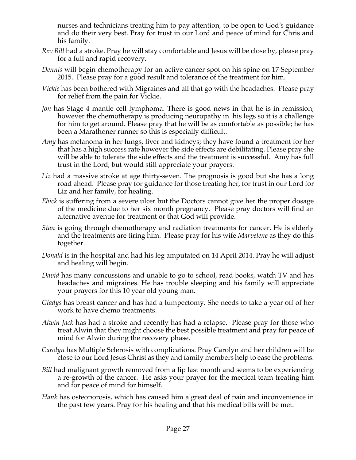nurses and technicians treating him to pay attention, to be open to God's guidance and do their very best. Pray for trust in our Lord and peace of mind for Chris and his family.

- *Rev Bill* had a stroke. Pray he will stay comfortable and Jesus will be close by, please pray for a full and rapid recovery.
- *Dennis* will begin chemotherapy for an active cancer spot on his spine on 17 September 2015. Please pray for a good result and tolerance of the treatment for him.
- *Vickie* has been bothered with Migraines and all that go with the headaches. Please pray for relief from the pain for Vickie.
- *Jon* has Stage 4 mantle cell lymphoma. There is good news in that he is in remission; however the chemotherapy is producing neuropathy in his legs so it is a challenge for him to get around. Please pray that he will be as comfortable as possible; he has been a Marathoner runner so this is especially difficult.
- *Amy* has melanoma in her lungs, liver and kidneys; they have found a treatment for her that has a high success rate however the side effects are debilitating. Please pray she will be able to tolerate the side effects and the treatment is successful. Amy has full trust in the Lord, but would still appreciate your prayers.
- *Liz* had a massive stroke at age thirty-seven. The prognosis is good but she has a long road ahead. Please pray for guidance for those treating her, for trust in our Lord for Liz and her family, for healing.
- *Ebick* is suffering from a severe ulcer but the Doctors cannot give her the proper dosage of the medicine due to her six month pregnancy. Please pray doctors will find an alternative avenue for treatment or that God will provide.
- *Stan* is going through chemotherapy and radiation treatments for cancer. He is elderly and the treatments are tiring him. Please pray for his wife *Marvelene* as they do this together.
- *Donald* is in the hospital and had his leg amputated on 14 April 2014. Pray he will adjust and healing will begin.
- *David* has many concussions and unable to go to school, read books, watch TV and has headaches and migraines. He has trouble sleeping and his family will appreciate your prayers for this 10 year old young man.
- *Gladys* has breast cancer and has had a lumpectomy. She needs to take a year off of her work to have chemo treatments.
- *Alwin Jack* has had a stroke and recently has had a relapse. Please pray for those who treat Alwin that they might choose the best possible treatment and pray for peace of mind for Alwin during the recovery phase.
- *Carolyn* has Multiple Sclerosis with complications. Pray Carolyn and her children will be close to our Lord Jesus Christ as they and family members help to ease the problems.
- *Bill* had malignant growth removed from a lip last month and seems to be experiencing a re-growth of the cancer. He asks your prayer for the medical team treating him and for peace of mind for himself.
- *Hank* has osteoporosis, which has caused him a great deal of pain and inconvenience in the past few years. Pray for his healing and that his medical bills will be met.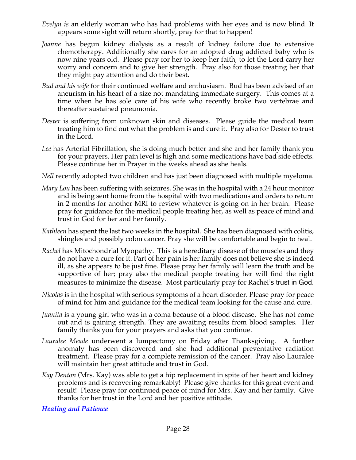- *Evelyn is* an elderly woman who has had problems with her eyes and is now blind. It appears some sight will return shortly, pray for that to happen!
- *Joanne* has begun kidney dialysis as a result of kidney failure due to extensive chemotherapy. Additionally she cares for an adopted drug addicted baby who is now nine years old. Please pray for her to keep her faith, to let the Lord carry her worry and concern and to give her strength. Pray also for those treating her that they might pay attention and do their best.
- *Bud and his wife* for their continued welfare and enthusiasm. Bud has been advised of an aneurism in his heart of a size not mandating immediate surgery. This comes at a time when he has sole care of his wife who recently broke two vertebrae and thereafter sustained pneumonia.
- *Dester* is suffering from unknown skin and diseases. Please guide the medical team treating him to find out what the problem is and cure it. Pray also for Dester to trust in the Lord.
- *Lee* has Arterial Fibrillation, she is doing much better and she and her family thank you for your prayers. Her pain level is high and some medications have bad side effects. Please continue her in Prayer in the weeks ahead as she heals.
- *Nell* recently adopted two children and has just been diagnosed with multiple myeloma.
- *Mary Lou* has been suffering with seizures. She was in the hospital with a 24 hour monitor and is being sent home from the hospital with two medications and orders to return in 2 months for another MRI to review whatever is going on in her brain. Please pray for guidance for the medical people treating her, as well as peace of mind and trust in God for her and her family.
- *Kathleen* has spent the last two weeks in the hospital. She has been diagnosed with colitis, shingles and possibly colon cancer. Pray she will be comfortable and begin to heal.
- *Rachel* has Mitochondrial Myopathy. This is a hereditary disease of the muscles and they do not have a cure for it. Part of her pain is her family does not believe she is indeed ill, as she appears to be just fine. Please pray her family will learn the truth and be supportive of her; pray also the medical people treating her will find the right measures to minimize the disease. Most particularly pray for Rachel's trust in God.
- *Nicolas* is in the hospital with serious symptoms of a heart disorder. Please pray for peace of mind for him and guidance for the medical team looking for the cause and cure.
- *Juanita* is a young girl who was in a coma because of a blood disease. She has not come out and is gaining strength. They are awaiting results from blood samples. Her family thanks you for your prayers and asks that you continue.
- *Lauralee Meade* underwent a lumpectomy on Friday after Thanksgiving. A further anomaly has been discovered and she had additional preventative radiation treatment. Please pray for a complete remission of the cancer. Pray also Lauralee will maintain her great attitude and trust in God.
- *Kay Denton* (Mrs. Kay) was able to get a hip replacement in spite of her heart and kidney problems and is recovering remarkably! Please give thanks for this great event and result! Please pray for continued peace of mind for Mrs. Kay and her family. Give thanks for her trust in the Lord and her positive attitude.

*Healing and Patience*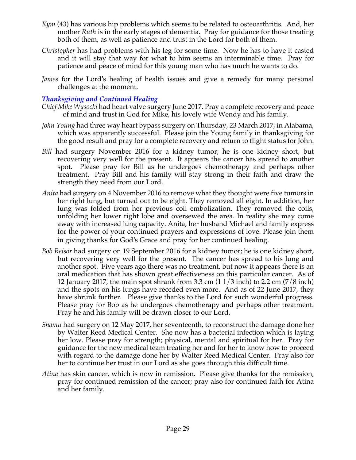- *Kym* (43) has various hip problems which seems to be related to osteoarthritis. And, her mother *Ruth* is in the early stages of dementia. Pray for guidance for those treating both of them, as well as patience and trust in the Lord for both of them.
- *Christopher* has had problems with his leg for some time. Now he has to have it casted and it will stay that way for what to him seems an interminable time. Pray for patience and peace of mind for this young man who has much he wants to do.
- *James* for the Lord's healing of health issues and give a remedy for many personal challenges at the moment.

## *Thanksgiving and Continued Healing*

- *Chief Mike Wysocki* had heart valve surgery June 2017. Pray a complete recovery and peace of mind and trust in God for Mike, his lovely wife Wendy and his family.
- *John Young* had three way heart bypass surgery on Thursday, 23 March 2017, in Alabama, which was apparently successful. Please join the Young family in thanksgiving for the good result and pray for a complete recovery and return to flight status for John.
- *Bill* had surgery November 2016 for a kidney tumor; he is one kidney short, but recovering very well for the present. It appears the cancer has spread to another spot. Please pray for Bill as he undergoes chemotherapy and perhaps other treatment. Pray Bill and his family will stay strong in their faith and draw the strength they need from our Lord.
- *Anita* had surgery on 4 November 2016 to remove what they thought were five tumors in her right lung, but turned out to be eight. They removed all eight. In addition, her lung was folded from her previous coil embolization. They removed the coils, unfolding her lower right lobe and oversewed the area. In reality she may come away with increased lung capacity. Anita, her husband Michael and family express for the power of your continued prayers and expressions of love. Please join them in giving thanks for God's Grace and pray for her continued healing.
- *Bob Reisor* had surgery on 19 September 2016 for a kidney tumor; he is one kidney short, but recovering very well for the present. The cancer has spread to his lung and another spot. Five years ago there was no treatment, but now it appears there is an oral medication that has shown great effectiveness on this particular cancer. As of 12 January 2017, the main spot shrank from 3.3 cm (1 1/3 inch) to 2.2 cm (7/8 inch) and the spots on his lungs have receded even more. And as of 22 June 2017, they have shrunk further. Please give thanks to the Lord for such wonderful progress. Please pray for Bob as he undergoes chemotherapy and perhaps other treatment. Pray he and his family will be drawn closer to our Lord.
- *Shamu* had surgery on 12 May 2017, her seventeenth, to reconstruct the damage done her by Walter Reed Medical Center. She now has a bacterial infection which is laying her low. Please pray for strength; physical, mental and spiritual for her. Pray for guidance for the new medical team treating her and for her to know how to proceed with regard to the damage done her by Walter Reed Medical Center. Pray also for her to continue her trust in our Lord as she goes through this difficult time.
- *Atina* has skin cancer, which is now in remission. Please give thanks for the remission, pray for continued remission of the cancer; pray also for continued faith for Atina and her family.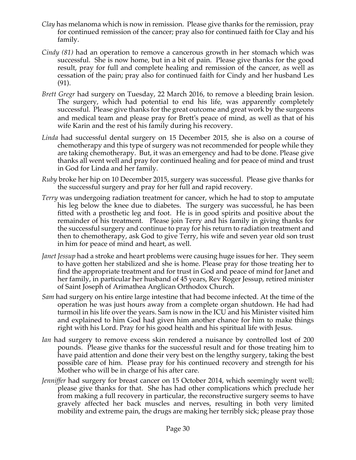- *Clay* has melanoma which is now in remission. Please give thanks for the remission, pray for continued remission of the cancer; pray also for continued faith for Clay and his family.
- *Cindy (81)* had an operation to remove a cancerous growth in her stomach which was successful. She is now home, but in a bit of pain. Please give thanks for the good result, pray for full and complete healing and remission of the cancer, as well as cessation of the pain; pray also for continued faith for Cindy and her husband Les (91).
- *Brett Gregr* had surgery on Tuesday, 22 March 2016, to remove a bleeding brain lesion. The surgery, which had potential to end his life, was apparently completely successful. Please give thanks for the great outcome and great work by the surgeons and medical team and please pray for Brett's peace of mind, as well as that of his wife Karin and the rest of his family during his recovery.
- *Linda* had successful dental surgery on 15 December 2015, she is also on a course of chemotherapy and this type of surgery was not recommended for people while they are taking chemotherapy. But, it was an emergency and had to be done. Please give thanks all went well and pray for continued healing and for peace of mind and trust in God for Linda and her family.
- *Ruby* broke her hip on 10 December 2015, surgery was successful. Please give thanks for the successful surgery and pray for her full and rapid recovery.
- *Terry* was undergoing radiation treatment for cancer, which he had to stop to amputate his leg below the knee due to diabetes. The surgery was successful, he has been fitted with a prosthetic leg and foot. He is in good spirits and positive about the remainder of his treatment. Please join Terry and his family in giving thanks for the successful surgery and continue to pray for his return to radiation treatment and then to chemotherapy, ask God to give Terry, his wife and seven year old son trust in him for peace of mind and heart, as well.
- *Janet Jessup* had a stroke and heart problems were causing huge issues for her. They seem to have gotten her stabilized and she is home. Please pray for those treating her to find the appropriate treatment and for trust in God and peace of mind for Janet and her family, in particular her husband of 45 years, Rev Roger Jessup, retired minister of Saint Joseph of Arimathea Anglican Orthodox Church.
- *Sam* had surgery on his entire large intestine that had become infected. At the time of the operation he was just hours away from a complete organ shutdown. He had had turmoil in his life over the years. Sam is now in the ICU and his Minister visited him and explained to him God had given him another chance for him to make things right with his Lord. Pray for his good health and his spiritual life with Jesus.
- *Ian* had surgery to remove excess skin rendered a nuisance by controlled lost of 200 pounds. Please give thanks for the successful result and for those treating him to have paid attention and done their very best on the lengthy surgery, taking the best possible care of him. Please pray for his continued recovery and strength for his Mother who will be in charge of his after care.
- *Jenniffer* had surgery for breast cancer on 15 October 2014, which seemingly went well; please give thanks for that. She has had other complications which preclude her from making a full recovery in particular, the reconstructive surgery seems to have gravely affected her back muscles and nerves, resulting in both very limited mobility and extreme pain, the drugs are making her terribly sick; please pray those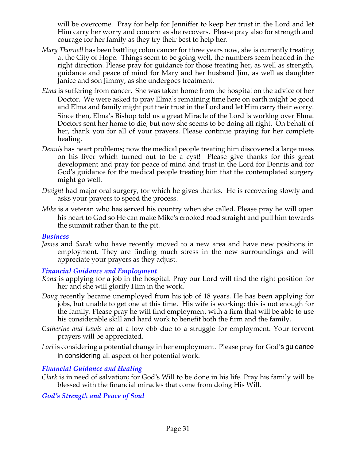will be overcome. Pray for help for Jenniffer to keep her trust in the Lord and let Him carry her worry and concern as she recovers. Please pray also for strength and courage for her family as they try their best to help her.

- *Mary Thornell* has been battling colon cancer for three years now, she is currently treating at the City of Hope. Things seem to be going well, the numbers seem headed in the right direction. Please pray for guidance for those treating her, as well as strength, guidance and peace of mind for Mary and her husband Jim, as well as daughter Janice and son Jimmy, as she undergoes treatment.
- *Elma* is suffering from cancer. She was taken home from the hospital on the advice of her Doctor. We were asked to pray Elma's remaining time here on earth might be good and Elma and family might put their trust in the Lord and let Him carry their worry. Since then, Elma's Bishop told us a great Miracle of the Lord is working over Elma. Doctors sent her home to die, but now she seems to be doing all right. On behalf of her, thank you for all of your prayers. Please continue praying for her complete healing.
- *Dennis* has heart problems; now the medical people treating him discovered a large mass on his liver which turned out to be a cyst! Please give thanks for this great development and pray for peace of mind and trust in the Lord for Dennis and for God's guidance for the medical people treating him that the contemplated surgery might go well.
- *Dwight* had major oral surgery, for which he gives thanks. He is recovering slowly and asks your prayers to speed the process.
- *Mike* is a veteran who has served his country when she called. Please pray he will open his heart to God so He can make Mike's crooked road straight and pull him towards the summit rather than to the pit.

#### *Business*

*James* and *Sarah* who have recently moved to a new area and have new positions in employment. They are finding much stress in the new surroundings and will appreciate your prayers as they adjust.

#### *Financial Guidance and Employment*

- *Kona* is applying for a job in the hospital. Pray our Lord will find the right position for her and she will glorify Him in the work.
- *Doug* recently became unemployed from his job of 18 years. He has been applying for jobs, but unable to get one at this time. His wife is working; this is not enough for the family. Please pray he will find employment with a firm that will be able to use his considerable skill and hard work to benefit both the firm and the family.
- *Catherine and Lewis* are at a low ebb due to a struggle for employment. Your fervent prayers will be appreciated.
- *Lori* is considering a potential change in her employment. Please pray for God's guidance in considering all aspect of her potential work.

## *Financial Guidance and Healing*

*Clark* is in need of salvation; for God's Will to be done in his life. Pray his family will be blessed with the financial miracles that come from doing His Will.

*God's Strength and Peace of Soul*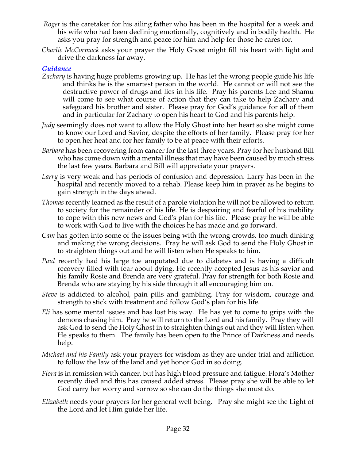- *Roger* is the caretaker for his ailing father who has been in the hospital for a week and his wife who had been declining emotionally, cognitively and in bodily health. He asks you pray for strength and peace for him and help for those he cares for.
- *Charlie McCormack* asks your prayer the Holy Ghost might fill his heart with light and drive the darkness far away.

#### *Guidance*

- *Zachary* is having huge problems growing up. He has let the wrong people guide his life and thinks he is the smartest person in the world. He cannot or will not see the destructive power of drugs and lies in his life. Pray his parents Lee and Shamu will come to see what course of action that they can take to help Zachary and safeguard his brother and sister. Please pray for God's guidance for all of them and in particular for Zachary to open his heart to God and his parents help.
- *Judy* seemingly does not want to allow the Holy Ghost into her heart so she might come to know our Lord and Savior, despite the efforts of her family. Please pray for her to open her heat and for her family to be at peace with their efforts.
- *Barbara* has been recovering from cancer for the last three years. Pray for her husband Bill who has come down with a mental illness that may have been caused by much stress the last few years. Barbara and Bill will appreciate your prayers.
- *Larry* is very weak and has periods of confusion and depression. Larry has been in the hospital and recently moved to a rehab. Please keep him in prayer as he begins to gain strength in the days ahead.
- *Thomas* recently learned as the result of a parole violation he will not be allowed to return to society for the remainder of his life. He is despairing and fearful of his inability to cope with this new news and God's plan for his life. Please pray he will be able to work with God to live with the choices he has made and go forward.
- *Cam* has gotten into some of the issues being with the wrong crowds, too much dinking and making the wrong decisions. Pray he will ask God to send the Holy Ghost in to straighten things out and he will listen when He speaks to him.
- *Paul* recently had his large toe amputated due to diabetes and is having a difficult recovery filled with fear about dying. He recently accepted Jesus as his savior and his family Rosie and Brenda are very grateful. Pray for strength for both Rosie and Brenda who are staying by his side through it all encouraging him on.
- *Steve* is addicted to alcohol, pain pills and gambling. Pray for wisdom, courage and strength to stick with treatment and follow God's plan for his life.
- *Eli* has some mental issues and has lost his way. He has yet to come to grips with the demons chasing him. Pray he will return to the Lord and his family. Pray they will ask God to send the Holy Ghost in to straighten things out and they will listen when He speaks to them. The family has been open to the Prince of Darkness and needs help.
- *Michael and his Family* ask your prayers for wisdom as they are under trial and affliction to follow the law of the land and yet honor God in so doing.
- *Flora* is in remission with cancer, but has high blood pressure and fatigue. Flora's Mother recently died and this has caused added stress. Please pray she will be able to let God carry her worry and sorrow so she can do the things she must do.
- *Elizabeth* needs your prayers for her general well being. Pray she might see the Light of the Lord and let Him guide her life.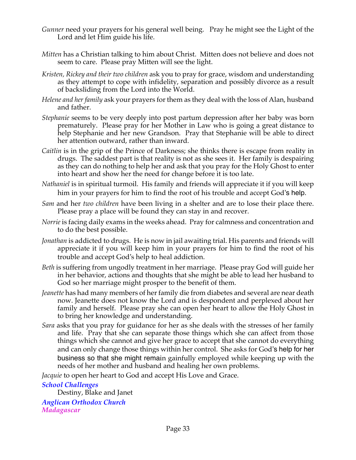- *Gunner* need your prayers for his general well being. Pray he might see the Light of the Lord and let Him guide his life.
- *Mitten* has a Christian talking to him about Christ. Mitten does not believe and does not seem to care. Please pray Mitten will see the light.
- *Kristen, Rickey and their two children* ask you to pray for grace, wisdom and understanding as they attempt to cope with infidelity, separation and possibly divorce as a result of backsliding from the Lord into the World.
- *Helene and her family* ask your prayers for them as they deal with the loss of Alan, husband and father.
- *Stephanie* seems to be very deeply into post partum depression after her baby was born prematurely. Please pray for her Mother in Law who is going a great distance to help Stephanie and her new Grandson. Pray that Stephanie will be able to direct her attention outward, rather than inward.
- *Caitlin* is in the grip of the Prince of Darkness; she thinks there is escape from reality in drugs. The saddest part is that reality is not as she sees it. Her family is despairing as they can do nothing to help her and ask that you pray for the Holy Ghost to enter into heart and show her the need for change before it is too late.
- *Nathaniel* is in spiritual turmoil. His family and friends will appreciate it if you will keep him in your prayers for him to find the root of his trouble and accept God's help.
- *Sam* and her *two children* have been living in a shelter and are to lose their place there. Please pray a place will be found they can stay in and recover.
- *Norrie* is facing daily exams in the weeks ahead. Pray for calmness and concentration and to do the best possible.
- *Jonathan* is addicted to drugs. He is now in jail awaiting trial. His parents and friends will appreciate it if you will keep him in your prayers for him to find the root of his trouble and accept God's help to heal addiction.
- *Beth* is suffering from ungodly treatment in her marriage. Please pray God will guide her in her behavior, actions and thoughts that she might be able to lead her husband to God so her marriage might prosper to the benefit of them.
- *Jeanette* has had many members of her family die from diabetes and several are near death now. Jeanette does not know the Lord and is despondent and perplexed about her family and herself. Please pray she can open her heart to allow the Holy Ghost in to bring her knowledge and understanding.
- *Sara* asks that you pray for guidance for her as she deals with the stresses of her family and life. Pray that she can separate those things which she can affect from those things which she cannot and give her grace to accept that she cannot do everything and can only change those things within her control. She asks for God's help for her business so that she might remain gainfully employed while keeping up with the needs of her mother and husband and healing her own problems.

*Jacquie* to open her heart to God and accept His Love and Grace.

## *School Challenges*

Destiny, Blake and Janet

*Anglican Orthodox Church Madagascar*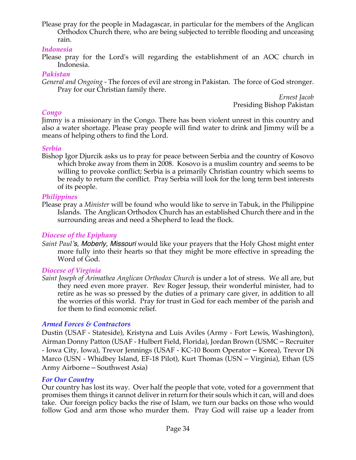Please pray for the people in Madagascar, in particular for the members of the Anglican Orthodox Church there, who are being subjected to terrible flooding and unceasing rain.

#### *Indonesia*

Please pray for the Lord's will regarding the establishment of an AOC church in Indonesia.

#### *Pakistan*

*General and Ongoing -* The forces of evil are strong in Pakistan. The force of God stronger. Pray for our Christian family there.

*Ernest Jacob* Presiding Bishop Pakistan

#### *Congo*

Jimmy is a missionary in the Congo. There has been violent unrest in this country and also a water shortage. Please pray people will find water to drink and Jimmy will be a means of helping others to find the Lord.

#### *Serbia*

Bishop Igor Djurcik asks us to pray for peace between Serbia and the country of Kosovo which broke away from them in 2008. Kosovo is a muslim country and seems to be willing to provoke conflict; Serbia is a primarily Christian country which seems to be ready to return the conflict. Pray Serbia will look for the long term best interests of its people.

## *Philippines*

Please pray a *Minister* will be found who would like to serve in Tabuk, in the Philippine Islands. The Anglican Orthodox Church has an established Church there and in the surrounding areas and need a Shepherd to lead the flock*.*

## *Diocese of the Epiphany*

*Saint Paul's, Moberly, Missouri* would like your prayers that the Holy Ghost might enter more fully into their hearts so that they might be more effective in spreading the Word of God.

## *Diocese of Virginia*

*Saint Joseph of Arimathea Anglican Orthodox Church* is under a lot of stress. We all are, but they need even more prayer. Rev Roger Jessup, their wonderful minister, had to retire as he was so pressed by the duties of a primary care giver, in addition to all the worries of this world. Pray for trust in God for each member of the parish and for them to find economic relief.

## *Armed Forces & Contractors*

Dustin (USAF - Stateside), Kristyna and Luis Aviles (Army - Fort Lewis, Washington), Airman Donny Patton (USAF - Hulbert Field, Florida), Jordan Brown (USMC – Recruiter - Iowa City, Iowa), Trevor Jennings (USAF - KC-10 Boom Operator – Korea), Trevor Di Marco (USN - Whidbey Island, EF-18 Pilot), Kurt Thomas (USN – Virginia), Ethan (US Army Airborne – Southwest Asia)

#### *For Our Country*

Our country has lost its way. Over half the people that vote, voted for a government that promises them things it cannot deliver in return for their souls which it can, will and does take. Our foreign policy backs the rise of Islam, we turn our backs on those who would follow God and arm those who murder them. Pray God will raise up a leader from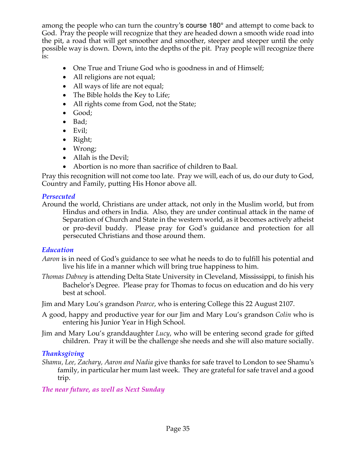among the people who can turn the country's course 180° and attempt to come back to God. Pray the people will recognize that they are headed down a smooth wide road into the pit, a road that will get smoother and smoother, steeper and steeper until the only possible way is down. Down, into the depths of the pit. Pray people will recognize there is:

- One True and Triune God who is goodness in and of Himself;
- All religions are not equal;
- All ways of life are not equal;
- The Bible holds the Key to Life;
- All rights come from God, not the State;
- Good;
- Bad;
- Evil;
- Right;
- Wrong;
- Allah is the Devil:
- Abortion is no more than sacrifice of children to Baal.

Pray this recognition will not come too late. Pray we will, each of us, do our duty to God, Country and Family, putting His Honor above all.

## *Persecuted*

Around the world, Christians are under attack, not only in the Muslim world, but from Hindus and others in India. Also, they are under continual attack in the name of Separation of Church and State in the western world, as it becomes actively atheist or pro-devil buddy. Please pray for God's guidance and protection for all persecuted Christians and those around them.

# *Education*

- *Aaron* is in need of God's guidance to see what he needs to do to fulfill his potential and live his life in a manner which will bring true happiness to him.
- *Thomas Dabney* is attending Delta State University in Cleveland, Mississippi, to finish his Bachelor's Degree. Please pray for Thomas to focus on education and do his very best at school.

Jim and Mary Lou's grandson *Pearce*, who is entering College this 22 August 2107.

- A good, happy and productive year for our Jim and Mary Lou's grandson *Colin* who is entering his Junior Year in High School.
- Jim and Mary Lou's granddaughter *Lucy*, who will be entering second grade for gifted children. Pray it will be the challenge she needs and she will also mature socially.

# *Thanksgiving*

*Shamu, Lee, Zachary, Aaron and Nadia* give thanks for safe travel to London to see Shamu's family, in particular her mum last week. They are grateful for safe travel and a good trip.

# *The near future, as well as Next Sunday*